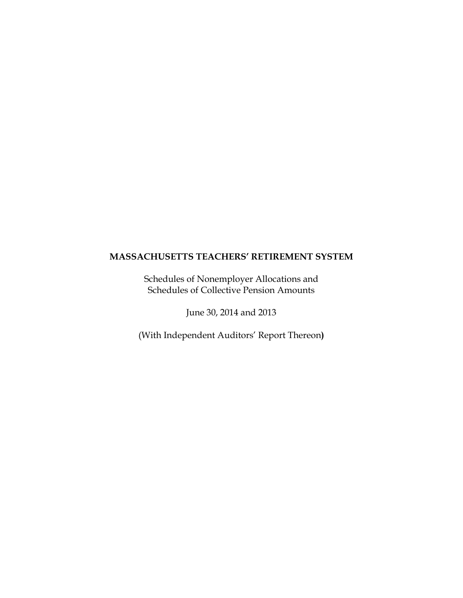Schedules of Nonemployer Allocations and Schedules of Collective Pension Amounts

June 30, 2014 and 2013

(With Independent Auditors' Report Thereon**)**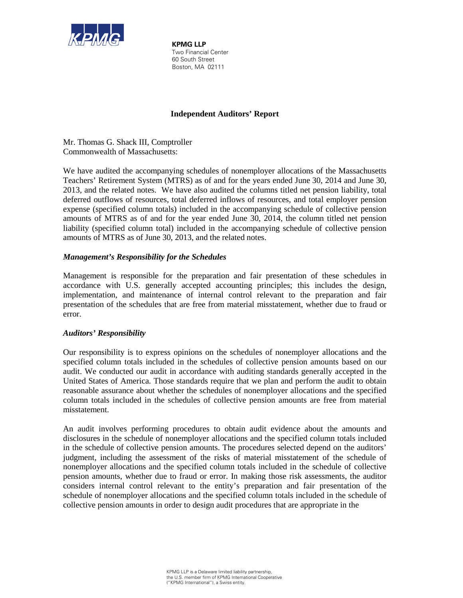

**KPMG LLP** Two Financial Center 60 South Street Boston, MA 02111

### **Independent Auditors' Report**

Mr. Thomas G. Shack III, Comptroller Commonwealth of Massachusetts:

We have audited the accompanying schedules of nonemployer allocations of the Massachusetts Teachers' Retirement System (MTRS) as of and for the years ended June 30, 2014 and June 30, 2013, and the related notes. We have also audited the columns titled net pension liability, total deferred outflows of resources, total deferred inflows of resources, and total employer pension expense (specified column totals) included in the accompanying schedule of collective pension amounts of MTRS as of and for the year ended June 30, 2014, the column titled net pension liability (specified column total) included in the accompanying schedule of collective pension amounts of MTRS as of June 30, 2013, and the related notes.

### *Management's Responsibility for the Schedules*

Management is responsible for the preparation and fair presentation of these schedules in accordance with U.S. generally accepted accounting principles; this includes the design, implementation, and maintenance of internal control relevant to the preparation and fair presentation of the schedules that are free from material misstatement, whether due to fraud or error.

#### *Auditors' Responsibility*

Our responsibility is to express opinions on the schedules of nonemployer allocations and the specified column totals included in the schedules of collective pension amounts based on our audit. We conducted our audit in accordance with auditing standards generally accepted in the United States of America. Those standards require that we plan and perform the audit to obtain reasonable assurance about whether the schedules of nonemployer allocations and the specified column totals included in the schedules of collective pension amounts are free from material misstatement.

An audit involves performing procedures to obtain audit evidence about the amounts and disclosures in the schedule of nonemployer allocations and the specified column totals included in the schedule of collective pension amounts. The procedures selected depend on the auditors' judgment, including the assessment of the risks of material misstatement of the schedule of nonemployer allocations and the specified column totals included in the schedule of collective pension amounts, whether due to fraud or error. In making those risk assessments, the auditor considers internal control relevant to the entity's preparation and fair presentation of the schedule of nonemployer allocations and the specified column totals included in the schedule of collective pension amounts in order to design audit procedures that are appropriate in the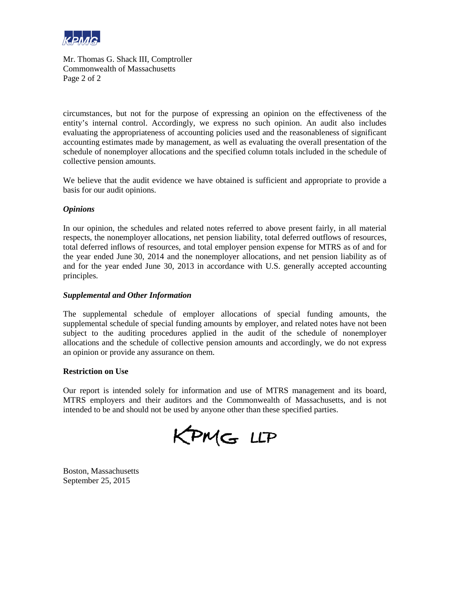

Mr. Thomas G. Shack III, Comptroller Commonwealth of Massachusetts Page 2 of 2

circumstances, but not for the purpose of expressing an opinion on the effectiveness of the entity's internal control. Accordingly, we express no such opinion. An audit also includes evaluating the appropriateness of accounting policies used and the reasonableness of significant accounting estimates made by management, as well as evaluating the overall presentation of the schedule of nonemployer allocations and the specified column totals included in the schedule of collective pension amounts.

We believe that the audit evidence we have obtained is sufficient and appropriate to provide a basis for our audit opinions.

#### *Opinions*

In our opinion, the schedules and related notes referred to above present fairly, in all material respects, the nonemployer allocations, net pension liability, total deferred outflows of resources, total deferred inflows of resources, and total employer pension expense for MTRS as of and for the year ended June 30, 2014 and the nonemployer allocations, and net pension liability as of and for the year ended June 30, 2013 in accordance with U.S. generally accepted accounting principles.

#### *Supplemental and Other Information*

The supplemental schedule of employer allocations of special funding amounts, the supplemental schedule of special funding amounts by employer, and related notes have not been subject to the auditing procedures applied in the audit of the schedule of nonemployer allocations and the schedule of collective pension amounts and accordingly, we do not express an opinion or provide any assurance on them.

#### **Restriction on Use**

Our report is intended solely for information and use of MTRS management and its board, MTRS employers and their auditors and the Commonwealth of Massachusetts, and is not intended to be and should not be used by anyone other than these specified parties.

KPMG LLP

Boston, Massachusetts September 25, 2015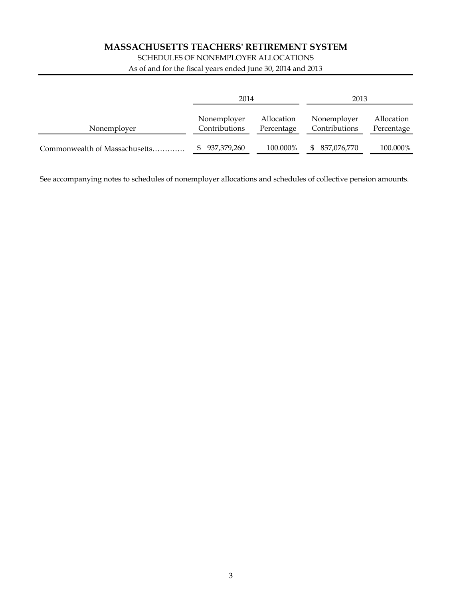## SCHEDULES OF NONEMPLOYER ALLOCATIONS

As of and for the fiscal years ended June 30, 2014 and 2013

|                               | 2014                         |                          | 2013                         |                          |
|-------------------------------|------------------------------|--------------------------|------------------------------|--------------------------|
| Nonemployer                   | Nonemployer<br>Contributions | Allocation<br>Percentage | Nonemployer<br>Contributions | Allocation<br>Percentage |
| Commonwealth of Massachusetts | 937,379,260                  | 100.000%                 | 857,076,770<br>$\mathbb{S}$  | 100.000%                 |

See accompanying notes to schedules of nonemployer allocations and schedules of collective pension amounts.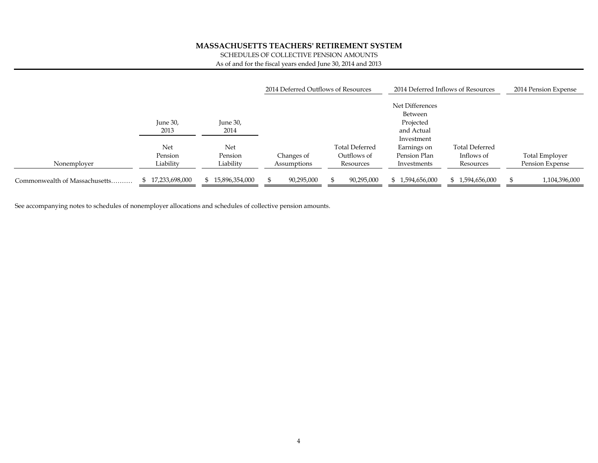SCHEDULES OF COLLECTIVE PENSION AMOUNTS

As of and for the fiscal years ended June 30, 2014 and 2013

|                               |                  |                | 2014 Deferred Outflows of Resources |                |                 | 2014 Deferred Inflows of Resources | 2014 Pension Expense |
|-------------------------------|------------------|----------------|-------------------------------------|----------------|-----------------|------------------------------------|----------------------|
|                               |                  |                |                                     |                | Net Differences |                                    |                      |
|                               |                  |                |                                     |                | Between         |                                    |                      |
|                               | June 30,         | June 30,       |                                     |                | Projected       |                                    |                      |
|                               | 2013             | 2014           |                                     |                | and Actual      |                                    |                      |
|                               |                  |                |                                     |                | Investment      |                                    |                      |
|                               | Net              | Net            |                                     | Total Deferred | Earnings on     | <b>Total Deferred</b>              |                      |
|                               | Pension          | Pension        | Changes of                          | Outflows of    | Pension Plan    | Inflows of                         | Total Employer       |
| Nonemployer                   | Liability        | Liability      | Assumptions                         | Resources      | Investments     | Resources                          | Pension Expense      |
|                               |                  |                |                                     |                |                 |                                    |                      |
| Commonwealth of Massachusetts | \$17,233,698,000 | 15,896,354,000 | 90,295,000                          | 90,295,000     | 1,594,656,000   | 1,594,656,000<br>S.                | 1,104,396,000        |

See accompanying notes to schedules of nonemployer allocations and schedules of collective pension amounts.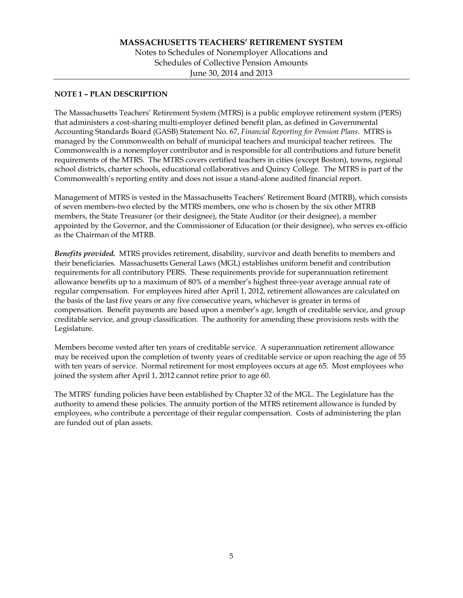#### **NOTE 1 – PLAN DESCRIPTION**

The Massachusetts Teachers' Retirement System (MTRS) is a public employee retirement system (PERS) that administers a cost-sharing multi-employer defined benefit plan, as defined in Governmental Accounting Standards Board (GASB) Statement No. 67, *Financial Reporting for Pension Plans*. MTRS is managed by the Commonwealth on behalf of municipal teachers and municipal teacher retirees. The Commonwealth is a nonemployer contributor and is responsible for all contributions and future benefit requirements of the MTRS. The MTRS covers certified teachers in cities (except Boston), towns, regional school districts, charter schools, educational collaboratives and Quincy College. The MTRS is part of the Commonwealth's reporting entity and does not issue a stand-alone audited financial report.

Management of MTRS is vested in the Massachusetts Teachers' Retirement Board (MTRB), which consists of seven members-two elected by the MTRS members, one who is chosen by the six other MTRB members, the State Treasurer (or their designee), the State Auditor (or their designee), a member appointed by the Governor, and the Commissioner of Education (or their designee), who serves ex-officio as the Chairman of the MTRB.

*Benefits provided.* MTRS provides retirement, disability, survivor and death benefits to members and their beneficiaries. Massachusetts General Laws (MGL) establishes uniform benefit and contribution requirements for all contributory PERS. These requirements provide for superannuation retirement allowance benefits up to a maximum of 80% of a member's highest three-year average annual rate of regular compensation. For employees hired after April 1, 2012, retirement allowances are calculated on the basis of the last five years or any five consecutive years, whichever is greater in terms of compensation. Benefit payments are based upon a member's age, length of creditable service, and group creditable service, and group classification. The authority for amending these provisions rests with the Legislature.

Members become vested after ten years of creditable service. A superannuation retirement allowance may be received upon the completion of twenty years of creditable service or upon reaching the age of 55 with ten years of service. Normal retirement for most employees occurs at age 65. Most employees who joined the system after April 1, 2012 cannot retire prior to age 60.

The MTRS' funding policies have been established by Chapter 32 of the MGL. The Legislature has the authority to amend these policies. The annuity portion of the MTRS retirement allowance is funded by employees, who contribute a percentage of their regular compensation. Costs of administering the plan are funded out of plan assets.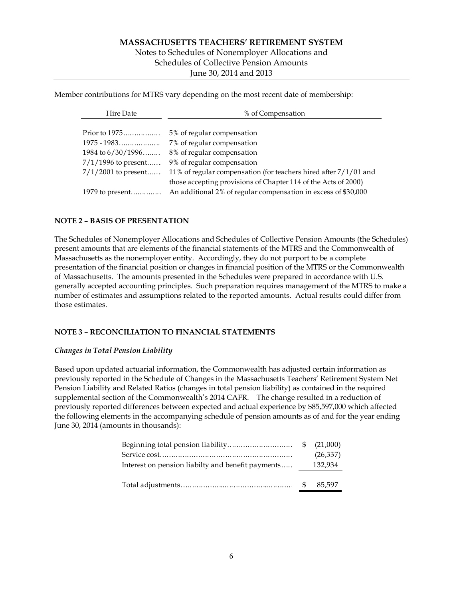#### Notes to Schedules of Nonemployer Allocations and Schedules of Collective Pension Amounts June 30, 2014 and 2013

Member contributions for MTRS vary depending on the most recent date of membership:

| Hire Date             | % of Compensation                                                  |
|-----------------------|--------------------------------------------------------------------|
|                       |                                                                    |
| Prior to $1975$       | 5% of regular compensation                                         |
|                       | 7% of regular compensation                                         |
| 1984 to $6/30/1996$   | 8% of regular compensation                                         |
| $7/1/1996$ to present | 9% of regular compensation                                         |
| $7/1/2001$ to present | 11% of regular compensation (for teachers hired after $7/1/01$ and |
|                       | those accepting provisions of Chapter 114 of the Acts of 2000)     |
| 1979 to present       | An additional 2% of regular compensation in excess of \$30,000     |

#### **NOTE 2 – BASIS OF PRESENTATION**

The Schedules of Nonemployer Allocations and Schedules of Collective Pension Amounts (the Schedules) present amounts that are elements of the financial statements of the MTRS and the Commonwealth of Massachusetts as the nonemployer entity. Accordingly, they do not purport to be a complete presentation of the financial position or changes in financial position of the MTRS or the Commonwealth of Massachusetts. The amounts presented in the Schedules were prepared in accordance with U.S. generally accepted accounting principles. Such preparation requires management of the MTRS to make a number of estimates and assumptions related to the reported amounts. Actual results could differ from those estimates.

#### **NOTE 3 – RECONCILIATION TO FINANCIAL STATEMENTS**

#### *Changes in Total Pension Liability*

Based upon updated actuarial information, the Commonwealth has adjusted certain information as previously reported in the Schedule of Changes in the Massachusetts Teachers' Retirement System Net Pension Liability and Related Ratios (changes in total pension liability) as contained in the required supplemental section of the Commonwealth's 2014 CAFR. The change resulted in a reduction of previously reported differences between expected and actual experience by \$85,597,000 which affected the following elements in the accompanying schedule of pension amounts as of and for the year ending June 30, 2014 (amounts in thousands):

|                                                   |     | (26,337) |
|---------------------------------------------------|-----|----------|
| Interest on pension liabilty and benefit payments |     | 132,934  |
|                                                   |     |          |
|                                                   | \$. | 85,597   |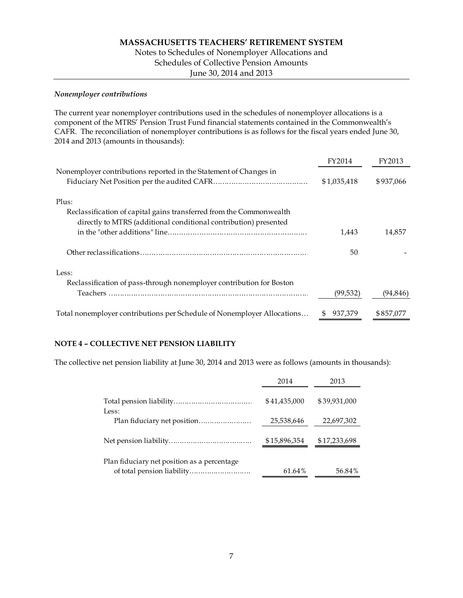#### *Nonemployer contributions*

The current year nonemployer contributions used in the schedules of nonemployer allocations is a component of the MTRS' Pension Trust Fund financial statements contained in the Commonwealth's CAFR. The reconciliation of nonemployer contributions is as follows for the fiscal years ended June 30, 2014 and 2013 (amounts in thousands):

|                                                                         | FY2014      | FY2013    |
|-------------------------------------------------------------------------|-------------|-----------|
| Nonemployer contributions reported in the Statement of Changes in       |             |           |
|                                                                         | \$1,035,418 | \$937,066 |
| Plus:                                                                   |             |           |
| Reclassification of capital gains transferred from the Commonwealth     |             |           |
| directly to MTRS (additional conditional contribution) presented        |             |           |
|                                                                         | 1,443       | 14,857    |
|                                                                         | 50          |           |
| Less:                                                                   |             |           |
| Reclassification of pass-through nonemployer contribution for Boston    |             |           |
|                                                                         | (99, 532)   | (94, 846) |
| Total nonemployer contributions per Schedule of Nonemployer Allocations | 937,379     | \$857,077 |

#### **NOTE 4 – COLLECTIVE NET PENSION LIABILITY**

The collective net pension liability at June 30, 2014 and 2013 were as follows (amounts in thousands):

|                                             | 2014         | 2013         |
|---------------------------------------------|--------------|--------------|
| Less:                                       | \$41,435,000 | \$39,931,000 |
| Plan fiduciary net position                 | 25,538,646   | 22,697,302   |
|                                             | \$15,896,354 | \$17,233,698 |
| Plan fiduciary net position as a percentage | 61.64%       | 56.84%       |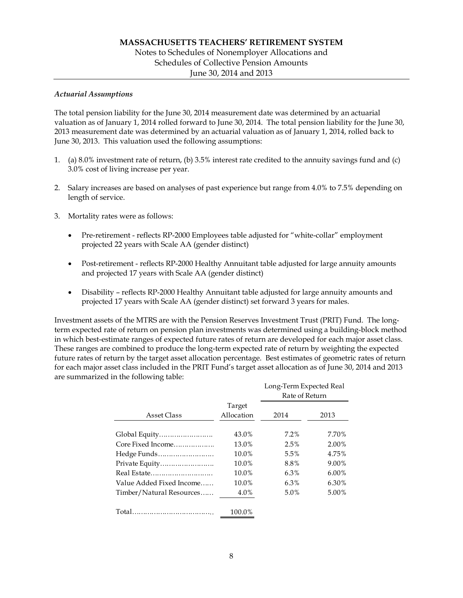#### *Actuarial Assumptions*

The total pension liability for the June 30, 2014 measurement date was determined by an actuarial valuation as of January 1, 2014 rolled forward to June 30, 2014. The total pension liability for the June 30, 2013 measurement date was determined by an actuarial valuation as of January 1, 2014, rolled back to June 30, 2013. This valuation used the following assumptions:

- 1. (a) 8.0% investment rate of return, (b) 3.5% interest rate credited to the annuity savings fund and (c) 3.0% cost of living increase per year.
- 2. Salary increases are based on analyses of past experience but range from 4.0% to 7.5% depending on length of service.
- 3. Mortality rates were as follows:
	- Pre-retirement reflects RP-2000 Employees table adjusted for "white-collar" employment projected 22 years with Scale AA (gender distinct)
	- Post-retirement reflects RP-2000 Healthy Annuitant table adjusted for large annuity amounts and projected 17 years with Scale AA (gender distinct)
	- Disability reflects RP-2000 Healthy Annuitant table adjusted for large annuity amounts and projected 17 years with Scale AA (gender distinct) set forward 3 years for males.

Investment assets of the MTRS are with the Pension Reserves Investment Trust (PRIT) Fund. The longterm expected rate of return on pension plan investments was determined using a building-block method in which best-estimate ranges of expected future rates of return are developed for each major asset class. These ranges are combined to produce the long-term expected rate of return by weighting the expected future rates of return by the target asset allocation percentage. Best estimates of geometric rates of return for each major asset class included in the PRIT Fund's target asset allocation as of June 30, 2014 and 2013 are summarized in the following table:

|                          |            | Long-Term Expected Real |          |
|--------------------------|------------|-------------------------|----------|
|                          |            | Rate of Return          |          |
|                          | Target     |                         |          |
| Asset Class              | Allocation | 2014                    | 2013     |
|                          |            |                         |          |
| Global Equity            | 43.0%      | $7.2\%$                 | 7.70%    |
| Core Fixed Income        | 13.0%      | 2.5%                    | 2.00%    |
| Hedge Funds              | 10.0%      | 5.5%                    | 4.75%    |
| Private Equity           | 10.0%      | 8.8%                    | 9.00%    |
| Real Estate              | 10.0%      | 6.3%                    | $6.00\%$ |
| Value Added Fixed Income | 10.0%      | 6.3%                    | 6.30%    |
| Timber/Natural Resources | 4.0%       | 5.0%                    | 5.00%    |
|                          |            |                         |          |
| Total.                   | 100.0%     |                         |          |
|                          |            |                         |          |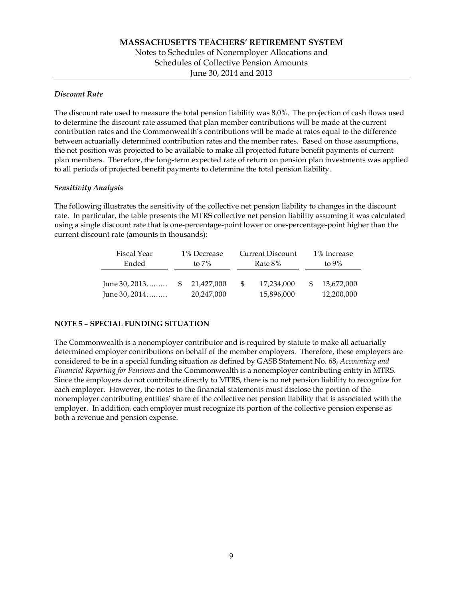#### *Discount Rate*

The discount rate used to measure the total pension liability was 8.0%. The projection of cash flows used to determine the discount rate assumed that plan member contributions will be made at the current contribution rates and the Commonwealth's contributions will be made at rates equal to the difference between actuarially determined contribution rates and the member rates. Based on those assumptions, the net position was projected to be available to make all projected future benefit payments of current plan members. Therefore, the long-term expected rate of return on pension plan investments was applied to all periods of projected benefit payments to determine the total pension liability.

#### *Sensitivity Analysis*

The following illustrates the sensitivity of the collective net pension liability to changes in the discount rate. In particular, the table presents the MTRS collective net pension liability assuming it was calculated using a single discount rate that is one-percentage-point lower or one-percentage-point higher than the current discount rate (amounts in thousands):

| Fiscal Year                        | 1% Decrease              |   | Current Discount         | 1% Increase              |
|------------------------------------|--------------------------|---|--------------------------|--------------------------|
| Ended                              | to $7\%$                 |   | Rate 8%                  | to $9\%$                 |
| June 30, $2013$<br>June 30, $2014$ | 21.427.000<br>20,247,000 | S | 17.234.000<br>15,896,000 | 13.672.000<br>12,200,000 |

#### **NOTE 5 – SPECIAL FUNDING SITUATION**

The Commonwealth is a nonemployer contributor and is required by statute to make all actuarially determined employer contributions on behalf of the member employers. Therefore, these employers are considered to be in a special funding situation as defined by GASB Statement No. 68, *Accounting and Financial Reporting for Pensions* and the Commonwealth is a nonemployer contributing entity in MTRS. Since the employers do not contribute directly to MTRS, there is no net pension liability to recognize for each employer. However, the notes to the financial statements must disclose the portion of the nonemployer contributing entities' share of the collective net pension liability that is associated with the employer. In addition, each employer must recognize its portion of the collective pension expense as both a revenue and pension expense.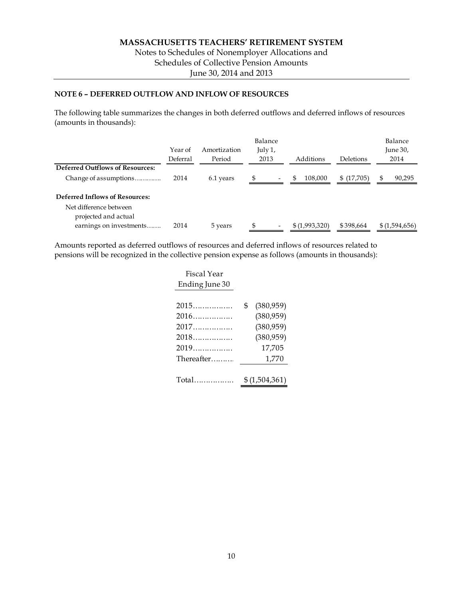#### **NOTE 6 – DEFERRED OUTFLOW AND INFLOW OF RESOURCES**

The following table summarizes the changes in both deferred outflows and deferred inflows of resources (amounts in thousands):

|                                                | Year of<br>Deferral | Amortization<br>Period | Balance<br>July 1,<br>2013 |                          | Additions     | Deletions  |   | Balance<br>June $30r$<br>2014 |
|------------------------------------------------|---------------------|------------------------|----------------------------|--------------------------|---------------|------------|---|-------------------------------|
| <b>Deferred Outflows of Resources:</b>         |                     |                        |                            |                          |               |            |   |                               |
| Change of assumptions                          | 2014                | 6.1 years              |                            | $\overline{\phantom{a}}$ | \$<br>108,000 | \$(17,705) | S | 90,295                        |
| <b>Deferred Inflows of Resources:</b>          |                     |                        |                            |                          |               |            |   |                               |
| Net difference between<br>projected and actual |                     |                        |                            |                          |               |            |   |                               |
| earnings on investments                        | 2014                | 5 years                | S                          | $\overline{\phantom{a}}$ | \$(1,993,320) | \$398,664  |   | \$(1,594,656)                 |

Amounts reported as deferred outflows of resources and deferred inflows of resources related to pensions will be recognized in the collective pension expense as follows (amounts in thousands):

| Fiscal Year    |                  |
|----------------|------------------|
| Ending June 30 |                  |
|                |                  |
| 2015           | \$<br>(380, 959) |
| 2016           | (380, 959)       |
| 2017           | (380, 959)       |
| 2018           | (380, 959)       |
| 2019           | 17,705           |
| Thereafter     | 1,770            |
|                |                  |
| Total          | \$(1,504,361)    |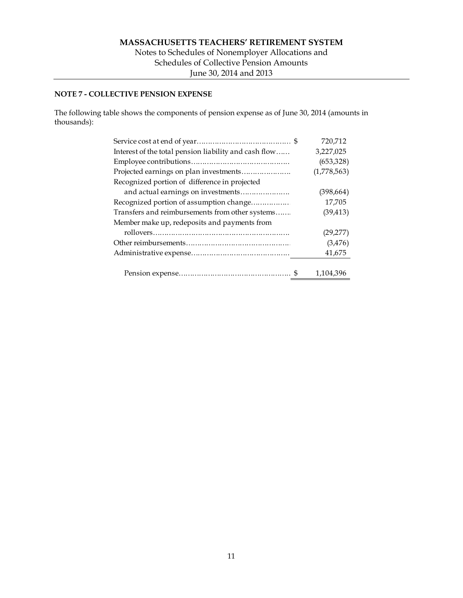#### **NOTE 7 - COLLECTIVE PENSION EXPENSE**

The following table shows the components of pension expense as of June 30, 2014 (amounts in thousands):

|                                                       | 720,712     |
|-------------------------------------------------------|-------------|
| Interest of the total pension liability and cash flow | 3,227,025   |
|                                                       | (653,328)   |
| Projected earnings on plan investments                | (1,778,563) |
| Recognized portion of difference in projected         |             |
| and actual earnings on investments                    | (398, 664)  |
| Recognized portion of assumption change               | 17,705      |
| Transfers and reimbursements from other systems       | (39, 413)   |
| Member make up, redeposits and payments from          |             |
|                                                       | (29, 277)   |
|                                                       | (3,476)     |
|                                                       | 41,675      |
|                                                       |             |
|                                                       | 1,104,396   |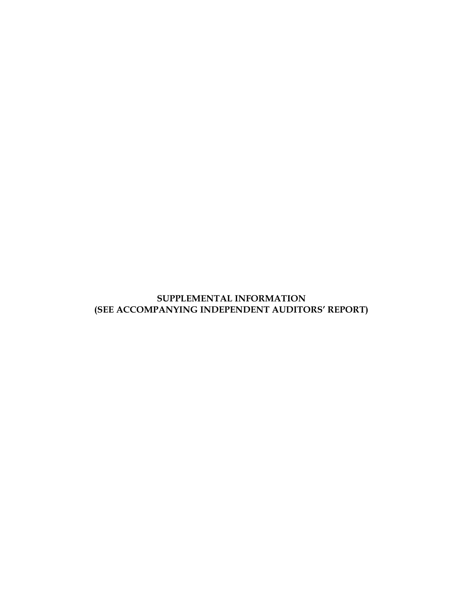# **SUPPLEMENTAL INFORMATION (SEE ACCOMPANYING INDEPENDENT AUDITORS' REPORT)**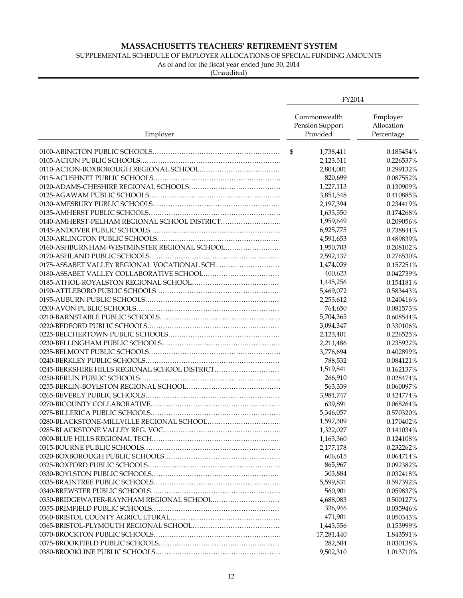### SUPPLEMENTAL SCHEDULE OF EMPLOYER ALLOCATIONS OF SPECIAL FUNDING AMOUNTS

As of and for the fiscal year ended June 30, 2014

| Commonwealth<br>Employer<br>Pension Support<br>Allocation<br>Provided<br>Percentage<br>Employer<br>\$<br>1,738,411<br>0.185454%<br>0.226537%<br>2,123,511<br>2,804,001<br>0.299132%<br>820,699<br>0.087552%<br>1,227,113<br>0.130909%<br>3,851,548<br>0.410885% |
|-----------------------------------------------------------------------------------------------------------------------------------------------------------------------------------------------------------------------------------------------------------------|
|                                                                                                                                                                                                                                                                 |
|                                                                                                                                                                                                                                                                 |
|                                                                                                                                                                                                                                                                 |
|                                                                                                                                                                                                                                                                 |
|                                                                                                                                                                                                                                                                 |
|                                                                                                                                                                                                                                                                 |
|                                                                                                                                                                                                                                                                 |
| 2,197,394<br>0.234419%                                                                                                                                                                                                                                          |
| 1,633,550<br>0.174268%                                                                                                                                                                                                                                          |
| 1,959,649<br>0.209056%                                                                                                                                                                                                                                          |
| 6,925,775<br>0.738844%                                                                                                                                                                                                                                          |
| 0.489839%                                                                                                                                                                                                                                                       |
| 4,591,653                                                                                                                                                                                                                                                       |
| 1,950,703<br>0.208102%                                                                                                                                                                                                                                          |
| 2,592,137<br>0.276530%                                                                                                                                                                                                                                          |
| 1,474,039<br>0.157251%                                                                                                                                                                                                                                          |
| 400,623<br>0.042739%                                                                                                                                                                                                                                            |
| 1,445,256<br>0.154181%                                                                                                                                                                                                                                          |
| 5,469,072<br>0.583443%                                                                                                                                                                                                                                          |
| 2,253,612<br>0.240416%                                                                                                                                                                                                                                          |
| 764,650<br>0.081573%                                                                                                                                                                                                                                            |
| 5,704,365<br>0.608544%                                                                                                                                                                                                                                          |
| 3,094,347<br>0.330106%                                                                                                                                                                                                                                          |
| 2,123,401<br>0.226525%                                                                                                                                                                                                                                          |
| 0.235922%<br>2,211,486                                                                                                                                                                                                                                          |
| 3,776,694<br>0.402899%                                                                                                                                                                                                                                          |
| 788,532<br>0.084121%                                                                                                                                                                                                                                            |
| 0245-BERKSHIRE HILLS REGIONAL SCHOOL DISTRICT<br>1,519,841<br>0.162137%                                                                                                                                                                                         |
| 266,910<br>0.028474%                                                                                                                                                                                                                                            |
| 563,339<br>0.060097%                                                                                                                                                                                                                                            |
| 3,981,747<br>0.424774%                                                                                                                                                                                                                                          |
| 639,891<br>0.068264%                                                                                                                                                                                                                                            |
| 5,346,057<br>0.570320%                                                                                                                                                                                                                                          |
| 1,597,309<br>0.170402%                                                                                                                                                                                                                                          |
| 1,322,027<br>0.141034%                                                                                                                                                                                                                                          |
| 1,163,360<br>0.124108%                                                                                                                                                                                                                                          |
| 2,177,178<br>0.232262%                                                                                                                                                                                                                                          |
| 606,615<br>0.064714%                                                                                                                                                                                                                                            |
| 865,967<br>0.092382%                                                                                                                                                                                                                                            |
| 303,884<br>0.032418%                                                                                                                                                                                                                                            |
| 5,599,831<br>0.597392%                                                                                                                                                                                                                                          |
| 560,901<br>0.059837%                                                                                                                                                                                                                                            |
| 4,688,083<br>0.500127%                                                                                                                                                                                                                                          |
| 336,946<br>0.035946%                                                                                                                                                                                                                                            |
| 471,901<br>0.050343%                                                                                                                                                                                                                                            |
| 1,443,556<br>0.153999%                                                                                                                                                                                                                                          |
| 17,281,440<br>1.843591%                                                                                                                                                                                                                                         |
| 282,504<br>0.030138%                                                                                                                                                                                                                                            |
| 9,502,310<br>1.013710%                                                                                                                                                                                                                                          |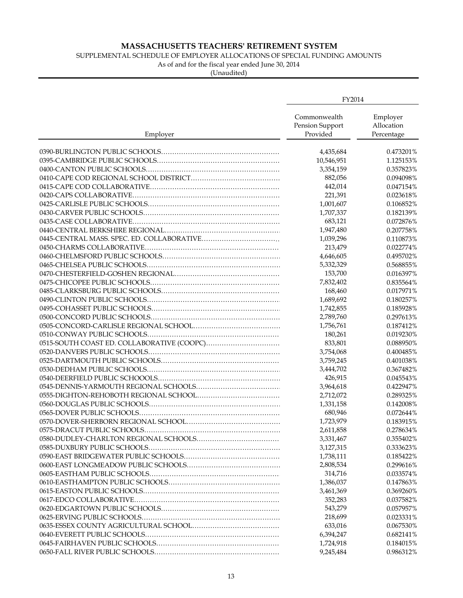### SUPPLEMENTAL SCHEDULE OF EMPLOYER ALLOCATIONS OF SPECIAL FUNDING AMOUNTS

As of and for the fiscal year ended June 30, 2014

|          | FY2014                                      |                                      |
|----------|---------------------------------------------|--------------------------------------|
| Employer | Commonwealth<br>Pension Support<br>Provided | Employer<br>Allocation<br>Percentage |
|          | 4,435,684                                   | 0.473201%                            |
|          | 10,546,951                                  | 1.125153%                            |
|          | 3,354,159                                   | 0.357823%                            |
|          | 882,056                                     | 0.094098%                            |
|          | 442,014                                     | 0.047154%                            |
|          | 221,391                                     | 0.023618%                            |
|          | 1,001,607                                   | 0.106852%                            |
|          | 1,707,337                                   | 0.182139%                            |
|          | 683,121                                     | 0.072876%                            |
|          | 1,947,480                                   | 0.207758%                            |
|          | 1,039,296                                   | 0.110873%                            |
|          | 213,479                                     | 0.022774%                            |
|          |                                             |                                      |
|          | 4,646,605                                   | 0.495702%                            |
|          | 5,332,329                                   | 0.568855%                            |
|          | 153,700                                     | 0.016397%                            |
|          | 7,832,402                                   | 0.835564%                            |
|          | 168,460                                     | 0.017971%                            |
|          | 1,689,692                                   | 0.180257%                            |
|          | 1,742,855                                   | 0.185928%                            |
|          | 2,789,760                                   | 0.297613%                            |
|          | 1,756,761                                   | 0.187412%                            |
|          | 180,261                                     | 0.019230%                            |
|          | 833,801                                     | 0.088950%                            |
|          | 3,754,068                                   | 0.400485%                            |
|          | 3,759,245                                   | 0.401038%                            |
|          | 3,444,702                                   | 0.367482%                            |
|          | 426,915                                     | 0.045543%                            |
|          | 3,964,618                                   | 0.422947%                            |
|          | 2,712,072                                   | 0.289325%                            |
|          | 1,331,158                                   | 0.142008%                            |
|          | 680,946                                     | 0.072644%                            |
|          | 1,723,979                                   | 0.183915%                            |
|          | 2,611,858                                   | 0.278634%                            |
|          | 3,331,467                                   | 0.355402%                            |
|          | 3,127,315                                   | 0.333623%                            |
|          | 1,738,111                                   | 0.185422%                            |
|          | 2,808,534                                   | 0.299616%                            |
|          | 314,716                                     | 0.033574%                            |
|          | 1,386,037                                   | 0.147863%                            |
|          | 3,461,369                                   | 0.369260%                            |
|          | 352,283                                     | 0.037582%                            |
|          | 543,279                                     | 0.057957%                            |
|          | 218,699                                     | 0.023331%                            |
|          | 633,016                                     | 0.067530%                            |
|          | 6,394,247                                   | 0.682141%                            |
|          | 1,724,918                                   | 0.184015%                            |
|          | 9,245,484                                   | 0.986312%                            |
|          |                                             |                                      |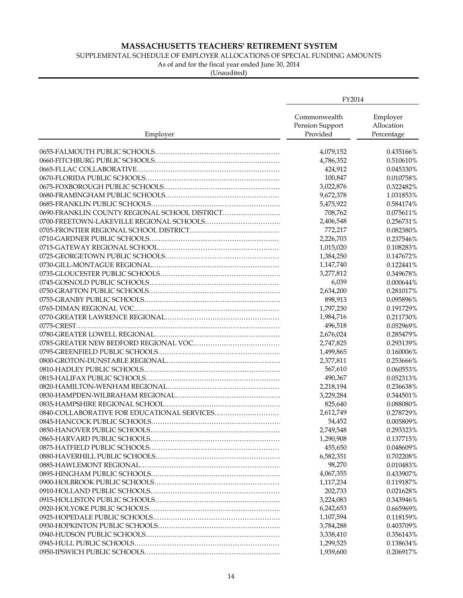### SUPPLEMENTAL SCHEDULE OF EMPLOYER ALLOCATIONS OF SPECIAL FUNDING AMOUNTS

As of and for the fiscal year ended June 30, 2014

|                                               | FY2014                                      |                                      |
|-----------------------------------------------|---------------------------------------------|--------------------------------------|
| Employer                                      | Commonwealth<br>Pension Support<br>Provided | Employer<br>Allocation<br>Percentage |
|                                               | 4,079,152                                   | 0.435166%                            |
|                                               | 4,786,352                                   | 0.510610%                            |
|                                               | 424,912                                     | 0.045330%                            |
|                                               | 100,847                                     | 0.010758%                            |
|                                               | 3,022,876                                   | 0.322482%                            |
|                                               | 9,672,378                                   | 1.031853%                            |
|                                               | 5,475,922                                   | 0.584174%                            |
| 0690-FRANKLIN COUNTY REGIONAL SCHOOL DISTRICT | 708,762                                     | 0.075611%                            |
|                                               | 2,406,548                                   | 0.256731%                            |
|                                               | 772,217                                     | 0.082380%                            |
|                                               | 2,226,703                                   | 0.237546%                            |
|                                               | 1,015,020                                   | 0.108283%                            |
|                                               | 1,384,250                                   | 0.147672%                            |
|                                               |                                             |                                      |
|                                               | 1,147,740                                   | 0.122441%                            |
|                                               | 3,277,812                                   | 0.349678%                            |
|                                               | 6,039                                       | 0.000644%                            |
|                                               | 2,634,200                                   | 0.281017%                            |
|                                               | 898,913                                     | 0.095896%                            |
|                                               | 1,797,230                                   | 0.191729%                            |
|                                               | 1,984,716                                   | 0.211730%                            |
|                                               | 496,518                                     | 0.052969%                            |
|                                               | 2,676,024                                   | 0.285479%                            |
|                                               | 2,747,825                                   | 0.293139%                            |
|                                               | 1,499,865                                   | 0.160006%                            |
|                                               | 2,377,811                                   | 0.253666%                            |
|                                               | 567,610                                     | 0.060553%                            |
|                                               | 490,367                                     | 0.052313%                            |
|                                               | 2,218,194                                   | 0.236638%                            |
|                                               | 3,229,284                                   | 0.344501%                            |
|                                               | 825,640                                     | 0.088080%                            |
| 0840-COLLABORATIVE FOR EDUCATIONAL SERVICES   | 2,612,749                                   | 0.278729%                            |
|                                               | 54,452                                      | 0.005809%                            |
|                                               | 2,749,548                                   | 0.293323%                            |
|                                               | 1,290,908                                   | 0.137715%                            |
|                                               | 455,650                                     | 0.048609%                            |
|                                               | 6,582,351                                   | 0.702208%                            |
|                                               | 98,270                                      | 0.010483%                            |
|                                               | 4,067,355                                   | 0.433907%                            |
|                                               | 1,117,234                                   | 0.119187%                            |
|                                               | 202,733                                     | 0.021628%                            |
|                                               | 3,224,083                                   | 0.343946%                            |
|                                               | 6,242,653                                   | 0.665969%                            |
|                                               | 1,107,594                                   | 0.118159%                            |
|                                               | 3,784,288                                   | 0.403709%                            |
|                                               | 3,338,410                                   | 0.356143%                            |
|                                               | 1,299,525                                   | 0.138634%                            |
|                                               | 1,939,600                                   | 0.206917%                            |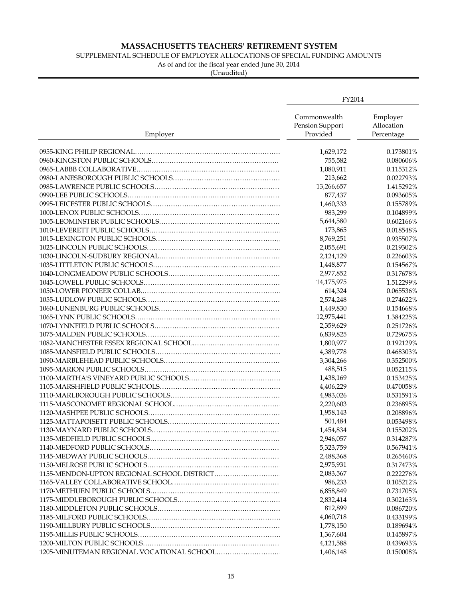### SUPPLEMENTAL SCHEDULE OF EMPLOYER ALLOCATIONS OF SPECIAL FUNDING AMOUNTS

As of and for the fiscal year ended June 30, 2014

|          | FY2014                                      |                                      |
|----------|---------------------------------------------|--------------------------------------|
| Employer | Commonwealth<br>Pension Support<br>Provided | Employer<br>Allocation<br>Percentage |
|          | 1,629,172                                   | 0.173801%                            |
|          | 755,582                                     | 0.080606%                            |
|          | 1,080,911                                   | 0.115312%                            |
|          | 213,662                                     | 0.022793%                            |
|          | 13,266,657                                  | 1.415292%                            |
|          | 877,437                                     | 0.093605%                            |
|          | 1,460,333                                   | 0.155789%                            |
|          | 983,299                                     | 0.104899%                            |
|          | 5,644,580                                   | 0.602166%                            |
|          | 173,865                                     | 0.018548%                            |
|          | 8,769,251                                   | 0.935507%                            |
|          |                                             | 0.219302%                            |
|          | 2,055,691                                   |                                      |
|          | 2,124,129                                   | 0.226603%                            |
|          | 1,448,877                                   | 0.154567%                            |
|          | 2,977,852                                   | 0.317678%                            |
|          | 14,175,975                                  | 1.512299%                            |
|          | 614,324                                     | 0.065536%                            |
|          | 2,574,248                                   | 0.274622%                            |
|          | 1,449,830                                   | 0.154668%                            |
|          | 12,975,441                                  | 1.384225%                            |
|          | 2,359,629                                   | 0.251726%                            |
|          | 6,839,825                                   | 0.729675%                            |
|          | 1,800,977                                   | 0.192129%                            |
|          | 4,389,778                                   | 0.468303%                            |
|          | 3,304,266                                   | 0.352500%                            |
|          | 488,515                                     | 0.052115%                            |
|          | 1,438,169                                   | 0.153425%                            |
|          | 4,406,229                                   | 0.470058%                            |
|          | 4,983,026                                   | 0.531591%                            |
|          | 2,220,603                                   | 0.236895%                            |
|          | 1,958,143                                   | 0.208896%                            |
|          | 501,484                                     | 0.053498%                            |
|          | 1,454,834                                   | 0.155202%                            |
|          | 2,946,057                                   | 0.314287%                            |
|          | 5,323,759                                   | 0.567941%                            |
|          | 2,488,368                                   | 0.265460%                            |
|          | 2,975,931                                   | 0.317473%                            |
|          | 2,083,567                                   | 0.222276%                            |
|          | 986,233                                     | 0.105212%                            |
|          | 6,858,849                                   | 0.731705%                            |
|          | 2,832,414                                   | 0.302163%                            |
|          | 812,899                                     | 0.086720%                            |
|          | 4,060,718                                   | 0.433199%                            |
|          | 1,778,150                                   | 0.189694%                            |
|          | 1,367,604                                   | 0.145897%                            |
|          | 4,121,588                                   | 0.439693%                            |
|          | 1,406,148                                   | 0.150008%                            |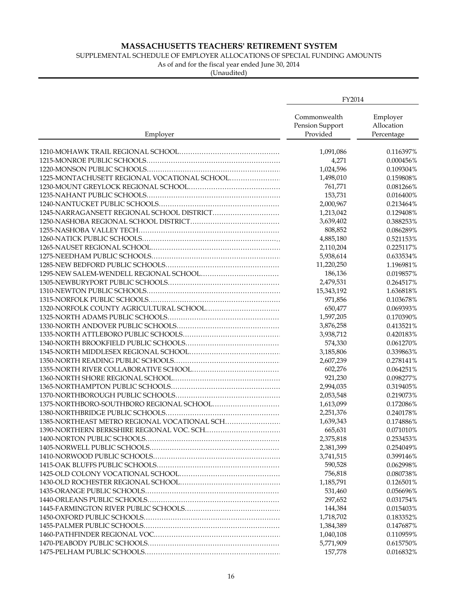### SUPPLEMENTAL SCHEDULE OF EMPLOYER ALLOCATIONS OF SPECIAL FUNDING AMOUNTS

As of and for the fiscal year ended June 30, 2014

|                                              | FY2014                                      |                                      |
|----------------------------------------------|---------------------------------------------|--------------------------------------|
| Employer                                     | Commonwealth<br>Pension Support<br>Provided | Employer<br>Allocation<br>Percentage |
|                                              | 1,091,086                                   | 0.116397%                            |
|                                              | 4,271                                       | 0.000456%                            |
|                                              | 1,024,596                                   | 0.109304%                            |
| 1225-MONTACHUSETT REGIONAL VOCATIONAL SCHOOL | 1,498,010                                   | 0.159808%                            |
|                                              | 761,771                                     | 0.081266%                            |
|                                              | 153,731                                     | 0.016400%                            |
|                                              | 2,000,967                                   | 0.213464%                            |
| 1245-NARRAGANSETT REGIONAL SCHOOL DISTRICT   | 1,213,042                                   | 0.129408%                            |
|                                              | 3,639,402                                   | 0.388253%                            |
|                                              | 808,852                                     | 0.086289%                            |
|                                              | 4,885,180                                   | 0.521153%                            |
|                                              | 2,110,204                                   | 0.225117%                            |
|                                              | 5,938,614                                   | 0.633534%                            |
|                                              | 11,220,250                                  | 1.196981%                            |
|                                              | 186,136                                     | 0.019857%                            |
|                                              | 2,479,531                                   | 0.264517%                            |
|                                              | 15,343,192                                  | 1.636818%                            |
|                                              | 971,856                                     | 0.103678%                            |
|                                              | 650,477                                     | 0.069393%                            |
|                                              | 1,597,205                                   | 0.170390%                            |
|                                              | 3,876,258                                   | 0.413521%                            |
|                                              | 3,938,712                                   | 0.420183%                            |
|                                              | 574,330                                     | 0.061270%                            |
|                                              | 3,185,806                                   | 0.339863%                            |
|                                              | 2,607,239                                   | 0.278141%                            |
|                                              | 602,276                                     | 0.064251%                            |
|                                              |                                             | 0.098277%                            |
|                                              | 921,230                                     |                                      |
|                                              | 2,994,035                                   | 0.319405%                            |
|                                              | 2,053,548                                   | 0.219073%                            |
|                                              | 1,613,099                                   | 0.172086%                            |
|                                              | 2,251,376                                   | 0.240178%                            |
| 1385-NORTHEAST METRO REGIONAL VOCATIONAL SCH | 1,639,343                                   | 0.174886%                            |
|                                              | 665,631                                     | 0.071010%                            |
|                                              | 2,375,818                                   | 0.253453%                            |
|                                              | 2,381,399                                   | 0.254049%                            |
|                                              | 3,741,515                                   | 0.399146%                            |
|                                              | 590,528                                     | 0.062998%                            |
|                                              | 756,818                                     | 0.080738%                            |
|                                              | 1,185,791                                   | 0.126501%                            |
|                                              | 531,460                                     | 0.056696%                            |
|                                              | 297,652                                     | 0.031754%                            |
|                                              | 144,384                                     | 0.015403%                            |
|                                              | 1,718,702                                   | 0.183352%                            |
|                                              | 1,384,389                                   | 0.147687%                            |
|                                              | 1,040,108                                   | 0.110959%                            |
|                                              | 5,771,909                                   | 0.615750%                            |
|                                              | 157,778                                     | 0.016832%                            |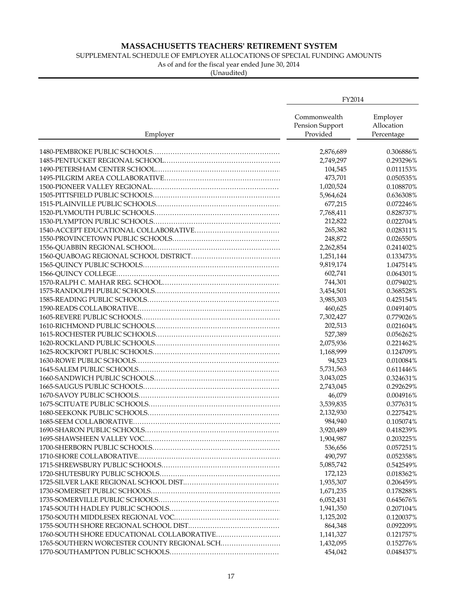### SUPPLEMENTAL SCHEDULE OF EMPLOYER ALLOCATIONS OF SPECIAL FUNDING AMOUNTS

As of and for the fiscal year ended June 30, 2014

|                                             | FY2014                                      |                                      |
|---------------------------------------------|---------------------------------------------|--------------------------------------|
| Employer                                    | Commonwealth<br>Pension Support<br>Provided | Employer<br>Allocation<br>Percentage |
|                                             | 2,876,689                                   | 0.306886%                            |
|                                             | 2,749,297                                   | 0.293296%                            |
|                                             | 104,545                                     | 0.011153%                            |
|                                             | 473,701                                     | 0.050535%                            |
|                                             | 1,020,524                                   | 0.108870%                            |
|                                             | 5,964,624                                   | 0.636308%                            |
|                                             | 677,215                                     | 0.072246%                            |
|                                             | 7,768,411                                   | 0.828737%                            |
|                                             | 212,822                                     | 0.022704%                            |
|                                             | 265,382                                     | 0.028311%                            |
|                                             | 248,872                                     | 0.026550%                            |
|                                             | 2,262,854                                   | 0.241402%                            |
|                                             | 1,251,144                                   | 0.133473%                            |
|                                             | 9,819,174                                   | 1.047514%                            |
|                                             | 602,741                                     | 0.064301%                            |
|                                             | 744,301                                     | 0.079402%                            |
|                                             |                                             |                                      |
|                                             | 3,454,501                                   | 0.368528%                            |
|                                             | 3,985,303                                   | 0.425154%                            |
|                                             | 460,625                                     | 0.049140%                            |
|                                             | 7,302,427                                   | 0.779026%                            |
|                                             | 202,513                                     | 0.021604%                            |
|                                             | 527,389                                     | 0.056262%                            |
|                                             | 2,075,936                                   | 0.221462%                            |
|                                             | 1,168,999                                   | 0.124709%                            |
|                                             | 94,523                                      | 0.010084%                            |
|                                             | 5,731,563                                   | 0.611446%                            |
|                                             | 3,043,025                                   | 0.324631%                            |
|                                             | 2,743,045                                   | 0.292629%                            |
|                                             | 46,079                                      | 0.004916%                            |
|                                             | 3,539,835                                   | 0.377631%                            |
|                                             | 2,132,930                                   | 0.227542%                            |
|                                             | 984,940                                     | 0.105074%                            |
|                                             | 3,920,489                                   | 0.418239%                            |
|                                             | 1,904,987                                   | 0.203225%                            |
|                                             | 536,656                                     | 0.057251%                            |
|                                             | 490,797                                     | 0.052358%                            |
|                                             | 5,085,742                                   | 0.542549%                            |
|                                             | 172,123                                     | 0.018362%                            |
|                                             | 1,935,307                                   | 0.206459%                            |
|                                             | 1,671,235                                   | 0.178288%                            |
|                                             | 6,052,431                                   | 0.645676%                            |
|                                             | 1,941,350                                   | 0.207104%                            |
|                                             | 1,125,202                                   | 0.120037%                            |
|                                             | 864,348                                     | 0.092209%                            |
| 1760-SOUTH SHORE EDUCATIONAL COLLABORATIVE  | 1,141,327                                   | 0.121757%                            |
| 1765-SOUTHERN WORCESTER COUNTY REGIONAL SCH | 1,432,095                                   | 0.152776%                            |
|                                             | 454,042                                     | 0.048437%                            |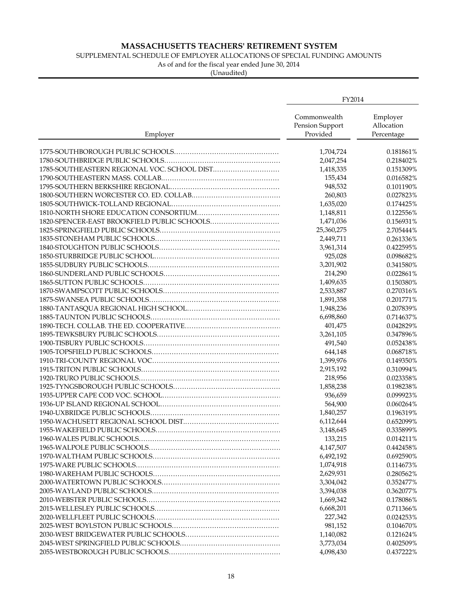### SUPPLEMENTAL SCHEDULE OF EMPLOYER ALLOCATIONS OF SPECIAL FUNDING AMOUNTS

As of and for the fiscal year ended June 30, 2014

|                                             | FY2014                                      |                                      |
|---------------------------------------------|---------------------------------------------|--------------------------------------|
| Employer                                    | Commonwealth<br>Pension Support<br>Provided | Employer<br>Allocation<br>Percentage |
|                                             | 1,704,724                                   | 0.181861%                            |
|                                             | 2,047,254                                   | 0.218402%                            |
| 1785-SOUTHEASTERN REGIONAL VOC. SCHOOL DIST | 1,418,335                                   | 0.151309%                            |
|                                             | 155,434                                     | 0.016582%                            |
|                                             | 948,532                                     | 0.101190%                            |
|                                             | 260,803                                     | 0.027823%                            |
|                                             | 1,635,020                                   | 0.174425%                            |
|                                             | 1,148,811                                   | 0.122556%                            |
| 1820-SPENCER-EAST BROOKFIELD PUBLIC SCHOOLS | 1,471,036                                   | 0.156931%                            |
|                                             | 25,360,275                                  | 2.705444%                            |
|                                             | 2,449,711                                   | 0.261336%                            |
|                                             | 3,961,314                                   | 0.422595%                            |
|                                             | 925,028                                     | 0.098682%                            |
|                                             | 3,201,902                                   | 0.341580%                            |
|                                             | 214,290                                     | 0.022861%                            |
|                                             |                                             | 0.150380%                            |
|                                             | 1,409,635                                   | 0.270316%                            |
|                                             | 2,533,887                                   |                                      |
|                                             | 1,891,358                                   | 0.201771%                            |
|                                             | 1,948,236                                   | 0.207839%                            |
|                                             | 6,698,860                                   | 0.714637%                            |
|                                             | 401,475                                     | 0.042829%                            |
|                                             | 3,261,105                                   | 0.347896%                            |
|                                             | 491,540                                     | 0.052438%                            |
|                                             | 644,148                                     | 0.068718%                            |
|                                             | 1,399,976                                   | 0.149350%                            |
|                                             | 2,915,192                                   | 0.310994%                            |
|                                             | 218,956                                     | 0.023358%                            |
|                                             | 1,858,238                                   | 0.198238%                            |
|                                             | 936,659                                     | 0.099923%                            |
|                                             | 564,900                                     | 0.060264%                            |
|                                             | 1,840,257                                   | 0.196319%                            |
|                                             | 6,112,644                                   | 0.652099%                            |
|                                             | 3,148,645                                   | 0.335899%                            |
|                                             | 133,215                                     | 0.014211%                            |
|                                             | 4,147,507                                   | 0.442458%                            |
|                                             | 6,492,192                                   | 0.692590%                            |
|                                             | 1,074,918                                   | 0.114673%                            |
|                                             | 2,629,931                                   | 0.280562%                            |
|                                             | 3,304,042                                   | 0.352477%                            |
|                                             | 3,394,038                                   | 0.362077%                            |
|                                             | 1,669,342                                   | 0.178086%                            |
|                                             | 6,668,201                                   | 0.711366%                            |
|                                             | 227,342                                     | 0.024253%                            |
|                                             | 981,152                                     | 0.104670%                            |
|                                             | 1,140,082                                   | 0.121624%                            |
|                                             | 3,773,034                                   | 0.402509%                            |
|                                             | 4,098,430                                   | 0.437222%                            |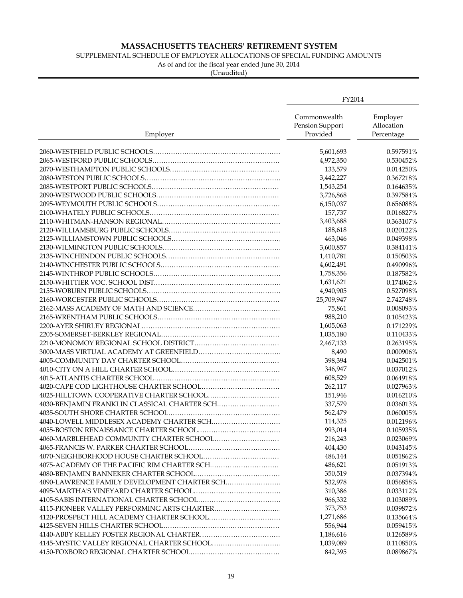### SUPPLEMENTAL SCHEDULE OF EMPLOYER ALLOCATIONS OF SPECIAL FUNDING AMOUNTS

As of and for the fiscal year ended June 30, 2014

|                                              | FY2014                                      |                                      |
|----------------------------------------------|---------------------------------------------|--------------------------------------|
| Employer                                     | Commonwealth<br>Pension Support<br>Provided | Employer<br>Allocation<br>Percentage |
|                                              | 5,601,693                                   | 0.597591%                            |
|                                              | 4,972,350                                   | 0.530452%                            |
|                                              | 133,579                                     | 0.014250%                            |
|                                              | 3,442,227                                   | 0.367218%                            |
|                                              | 1,543,254                                   | 0.164635%                            |
|                                              | 3,726,868                                   | 0.397584%                            |
|                                              | 6,150,037                                   | 0.656088%                            |
|                                              | 157,737                                     | 0.016827%                            |
|                                              | 3,403,688                                   | 0.363107%                            |
|                                              | 188,618                                     | 0.020122%                            |
|                                              | 463,046                                     | 0.049398%                            |
|                                              | 3,600,857                                   | 0.384141%                            |
|                                              | 1,410,781                                   | 0.150503%                            |
|                                              | 4,602,491                                   | 0.490996%                            |
|                                              | 1,758,356                                   | 0.187582%                            |
|                                              | 1,631,621                                   | 0.174062%                            |
|                                              |                                             | 0.527098%                            |
|                                              | 4,940,905<br>25,709,947                     |                                      |
|                                              |                                             | 2.742748%                            |
|                                              | 75,861                                      | 0.008093%                            |
|                                              | 988,210                                     | 0.105423%                            |
|                                              | 1,605,063                                   | 0.171229%                            |
|                                              | 1,035,180                                   | 0.110433%                            |
|                                              | 2,467,133                                   | 0.263195%                            |
|                                              | 8,490                                       | 0.000906%                            |
|                                              | 398,394                                     | 0.042501%                            |
|                                              | 346,947                                     | 0.037012%                            |
|                                              | 608,529                                     | 0.064918%                            |
|                                              | 262,117                                     | 0.027963%                            |
|                                              | 151,946                                     | 0.016210%                            |
| 4030-BENJAMIN FRANKLIN CLASSICAL CHARTER SCH | 337,579                                     | 0.036013%                            |
|                                              | 562,479                                     | 0.060005%                            |
| 4040-LOWELL MIDDLESEX ACADEMY CHARTER SCH    | 114,325                                     | 0.012196%                            |
|                                              | 993,014                                     | 0.105935%                            |
|                                              | 216,243                                     | 0.023069%                            |
|                                              | 404,430                                     | 0.043145%                            |
|                                              | 486,144                                     | 0.051862%                            |
|                                              | 486,621                                     | 0.051913%                            |
|                                              | 350,519                                     | 0.037394%                            |
| 4090-LAWRENCE FAMILY DEVELOPMENT CHARTER SCH | 532,978                                     | 0.056858%                            |
|                                              | 310,386                                     | 0.033112%                            |
|                                              | 966,332                                     | 0.103089%                            |
|                                              | 373,753                                     | 0.039872%                            |
| 4120-PROSPECT HILL ACADEMY CHARTER SCHOOL    | 1,271,686                                   | 0.135664%                            |
|                                              | 556,944                                     | 0.059415%                            |
|                                              | 1,186,616                                   | 0.126589%                            |
|                                              | 1,039,089                                   | 0.110850%                            |
|                                              | 842,395                                     | 0.089867%                            |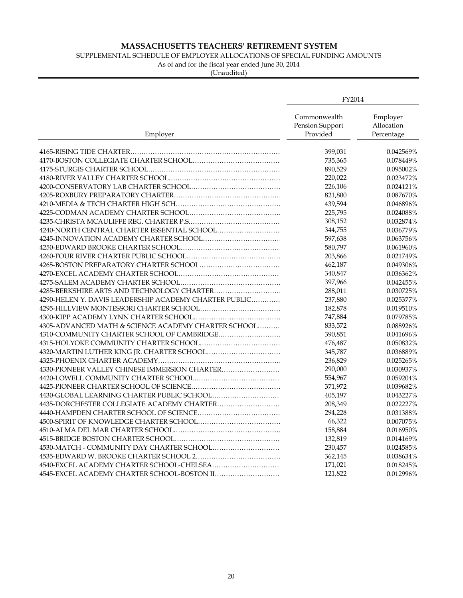### SUPPLEMENTAL SCHEDULE OF EMPLOYER ALLOCATIONS OF SPECIAL FUNDING AMOUNTS

As of and for the fiscal year ended June 30, 2014

|                                                       | FY2014                                      |                                      |
|-------------------------------------------------------|---------------------------------------------|--------------------------------------|
| Employer                                              | Commonwealth<br>Pension Support<br>Provided | Employer<br>Allocation<br>Percentage |
|                                                       | 399,031                                     | 0.042569%                            |
|                                                       | 735,365                                     | 0.078449%                            |
|                                                       | 890,529                                     | 0.095002%                            |
|                                                       | 220,022                                     | 0.023472%                            |
|                                                       | 226,106                                     | 0.024121%                            |
|                                                       | 821,800                                     | 0.087670%                            |
|                                                       | 439,594                                     | 0.046896%                            |
|                                                       | 225,795                                     | 0.024088%                            |
|                                                       | 308,152                                     | 0.032874%                            |
| 4240-NORTH CENTRAL CHARTER ESSENTIAL SCHOOL           | 344,755                                     | 0.036779%                            |
|                                                       | 597,638                                     | 0.063756%                            |
|                                                       | 580,797                                     | 0.061960%                            |
|                                                       | 203,866                                     | 0.021749%                            |
|                                                       | 462,187                                     | 0.049306%                            |
|                                                       | 340,847                                     | 0.036362%                            |
|                                                       | 397,966                                     | 0.042455%                            |
| 4285-BERKSHIRE ARTS AND TECHNOLOGY CHARTER            | 288,011                                     | 0.030725%                            |
| 4290-HELEN Y. DAVIS LEADERSHIP ACADEMY CHARTER PUBLIC | 237,880                                     | 0.025377%                            |
|                                                       | 182,878                                     | 0.019510%                            |
|                                                       | 747,884                                     | 0.079785%                            |
| 4305-ADVANCED MATH & SCIENCE ACADEMY CHARTER SCHOOL   | 833,572                                     | 0.088926%                            |
| 4310-COMMUNITY CHARTER SCHOOL OF CAMBRIDGE            | 390,851                                     | 0.041696%                            |
|                                                       | 476,487                                     | 0.050832%                            |
| 4320-MARTIN LUTHER KING JR. CHARTER SCHOOL            | 345,787                                     | 0.036889%                            |
|                                                       | 236,829                                     | 0.025265%                            |
| 4330-PIONEER VALLEY CHINESE IMMERSION CHARTER         | 290,000                                     | 0.030937%                            |
|                                                       | 554,967                                     | 0.059204%                            |
|                                                       | 371,972                                     | 0.039682%                            |
| 4430-GLOBAL LEARNING CHARTER PUBLIC SCHOOL            | 405,197                                     | 0.043227%                            |
| 4435-DORCHESTER COLLEGIATE ACADEMY CHARTER            | 208,349                                     | 0.022227%                            |
|                                                       | 294,228                                     | 0.031388%                            |
|                                                       | 66,322                                      | 0.007075%                            |
|                                                       | 158,884                                     | 0.016950%                            |
|                                                       | 132,819                                     | 0.014169%                            |
| 4530-MATCH - COMMUNITY DAY CHARTER SCHOOL             | 230,457                                     | 0.024585%                            |
|                                                       | 362,145                                     | 0.038634%                            |
| 4540-EXCEL ACADEMY CHARTER SCHOOL-CHELSEA             | 171,021                                     | 0.018245%                            |
| 4545-EXCEL ACADEMY CHARTER SCHOOL-BOSTON II           | 121,822                                     | 0.012996%                            |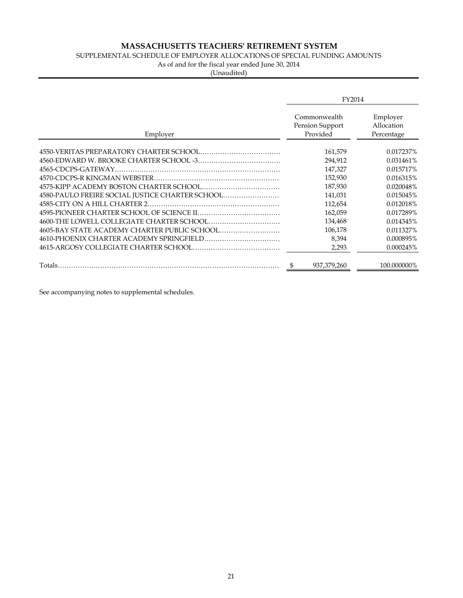### SUPPLEMENTAL SCHEDULE OF EMPLOYER ALLOCATIONS OF SPECIAL FUNDING AMOUNTS

As of and for the fiscal year ended June 30, 2014

(Unaudited)

|                                                 | FY2014                                      |                                      |
|-------------------------------------------------|---------------------------------------------|--------------------------------------|
| Employer                                        | Commonwealth<br>Pension Support<br>Provided | Employer<br>Allocation<br>Percentage |
|                                                 | 161,579                                     | 0.017237%                            |
|                                                 | 294,912                                     | 0.031461%                            |
|                                                 | 147,327                                     | 0.015717%                            |
|                                                 | 152,930                                     | 0.016315%                            |
|                                                 | 187,930                                     | 0.020048%                            |
| 4580-PAULO FREIRE SOCIAL JUSTICE CHARTER SCHOOL | 141,031                                     | 0.015045%                            |
| 4585-CITY ON A HILL CHARTER 2.                  | 112,654                                     | 0.012018%                            |
|                                                 | 162,059                                     | 0.017289%                            |
|                                                 | 134,468                                     | 0.014345%                            |
| 4605-BAY STATE ACADEMY CHARTER PUBLIC SCHOOL    | 106,178                                     | 0.011327%                            |
|                                                 | 8,394                                       | 0.000895%                            |
|                                                 | 2,293                                       | 0.000245%                            |
| Totals.                                         | 937.379.260                                 | 100.000000%                          |

See accompanying notes to supplemental schedules.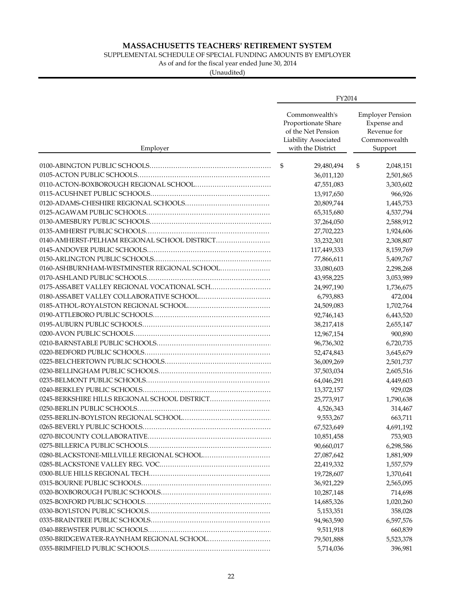SUPPLEMENTAL SCHEDULE OF SPECIAL FUNDING AMOUNTS BY EMPLOYER

As of and for the fiscal year ended June 30, 2014

|                                               | FY2014                                                                                                   |                                                                                  |
|-----------------------------------------------|----------------------------------------------------------------------------------------------------------|----------------------------------------------------------------------------------|
| Employer                                      | Commonwealth's<br>Proportionate Share<br>of the Net Pension<br>Liability Associated<br>with the District | <b>Employer Pension</b><br>Expense and<br>Revenue for<br>Commonwealth<br>Support |
|                                               | \$<br>29,480,494                                                                                         | \$<br>2,048,151                                                                  |
|                                               | 36,011,120                                                                                               | 2,501,865                                                                        |
|                                               | 47,551,083                                                                                               | 3,303,602                                                                        |
|                                               | 13,917,650                                                                                               | 966,926                                                                          |
|                                               | 20,809,744                                                                                               | 1,445,753                                                                        |
|                                               | 65,315,680                                                                                               | 4,537,794                                                                        |
|                                               | 37,264,050                                                                                               | 2,588,912                                                                        |
|                                               | 27,702,223                                                                                               | 1,924,606                                                                        |
| 0140-AMHERST-PELHAM REGIONAL SCHOOL DISTRICT  | 33,232,301                                                                                               | 2,308,807                                                                        |
|                                               | 117,449,333                                                                                              | 8,159,769                                                                        |
|                                               | 77,866,611                                                                                               | 5,409,767                                                                        |
|                                               | 33,080,603                                                                                               | 2,298,268                                                                        |
|                                               | 43,958,225                                                                                               | 3,053,989                                                                        |
|                                               | 24,997,190                                                                                               | 1,736,675                                                                        |
|                                               | 6,793,883                                                                                                | 472,004                                                                          |
|                                               | 24,509,083                                                                                               | 1,702,764                                                                        |
|                                               | 92,746,143                                                                                               | 6,443,520                                                                        |
|                                               | 38,217,418                                                                                               | 2,655,147                                                                        |
|                                               | 12,967,154                                                                                               | 900,890                                                                          |
|                                               | 96,736,302                                                                                               | 6,720,735                                                                        |
|                                               | 52,474,843                                                                                               | 3,645,679                                                                        |
|                                               | 36,009,269                                                                                               | 2,501,737                                                                        |
|                                               | 37,503,034                                                                                               | 2,605,516                                                                        |
|                                               | 64,046,291                                                                                               | 4,449,603                                                                        |
|                                               | 13,372,157                                                                                               | 929,028                                                                          |
| 0245-BERKSHIRE HILLS REGIONAL SCHOOL DISTRICT | 25,773,917                                                                                               | 1,790,638                                                                        |
|                                               | 4,526,343                                                                                                | 314,467                                                                          |
|                                               | 9,553,267                                                                                                | 663,711                                                                          |
|                                               | 67,523,649                                                                                               | 4,691,192                                                                        |
|                                               | 10,851,458                                                                                               | 753,903                                                                          |
|                                               | 90,660,017                                                                                               | 6,298,586                                                                        |
|                                               | 27,087,642                                                                                               | 1,881,909                                                                        |
|                                               | 22,419,332                                                                                               | 1,557,579                                                                        |
|                                               | 19,728,607                                                                                               | 1,370,641                                                                        |
|                                               | 36,921,229                                                                                               | 2,565,095                                                                        |
|                                               | 10,287,148                                                                                               | 714,698                                                                          |
|                                               | 14,685,326                                                                                               | 1,020,260                                                                        |
|                                               | 5,153,351                                                                                                | 358,028                                                                          |
|                                               | 94,963,590                                                                                               | 6,597,576                                                                        |
|                                               | 9,511,918                                                                                                | 660,839                                                                          |
|                                               | 79,501,888                                                                                               | 5,523,378                                                                        |
|                                               | 5,714,036                                                                                                | 396,981                                                                          |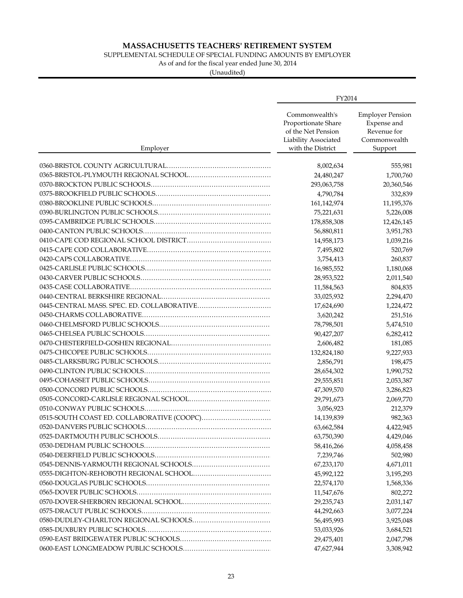SUPPLEMENTAL SCHEDULE OF SPECIAL FUNDING AMOUNTS BY EMPLOYER

As of and for the fiscal year ended June 30, 2014

|                                            | FY2014                                                                                                   |                                                                                  |
|--------------------------------------------|----------------------------------------------------------------------------------------------------------|----------------------------------------------------------------------------------|
| Employer                                   | Commonwealth's<br>Proportionate Share<br>of the Net Pension<br>Liability Associated<br>with the District | <b>Employer Pension</b><br>Expense and<br>Revenue for<br>Commonwealth<br>Support |
|                                            |                                                                                                          |                                                                                  |
|                                            | 8,002,634                                                                                                | 555,981                                                                          |
|                                            | 24,480,247                                                                                               | 1,700,760                                                                        |
|                                            | 293,063,758<br>4,790,784                                                                                 | 20,360,546<br>332,839                                                            |
|                                            |                                                                                                          |                                                                                  |
|                                            | 161,142,974                                                                                              | 11,195,376                                                                       |
|                                            | 75,221,631                                                                                               | 5,226,008                                                                        |
|                                            | 178,858,308                                                                                              | 12,426,145                                                                       |
|                                            | 56,880,811                                                                                               | 3,951,783                                                                        |
|                                            | 14,958,173                                                                                               | 1,039,216                                                                        |
|                                            | 7,495,802                                                                                                | 520,769                                                                          |
|                                            | 3,754,413                                                                                                | 260,837                                                                          |
|                                            | 16,985,552                                                                                               | 1,180,068                                                                        |
|                                            | 28,953,522                                                                                               | 2,011,540                                                                        |
|                                            | 11,584,563                                                                                               | 804,835                                                                          |
|                                            | 33,025,932                                                                                               | 2,294,470                                                                        |
|                                            | 17,624,690                                                                                               | 1,224,472                                                                        |
|                                            | 3,620,242                                                                                                | 251,516                                                                          |
|                                            | 78,798,501                                                                                               | 5,474,510                                                                        |
|                                            | 90,427,207                                                                                               | 6,282,412                                                                        |
|                                            | 2,606,482                                                                                                | 181,085                                                                          |
|                                            | 132,824,180                                                                                              | 9,227,933                                                                        |
|                                            | 2,856,791                                                                                                | 198,475                                                                          |
|                                            | 28,654,302                                                                                               | 1,990,752                                                                        |
|                                            | 29,555,851                                                                                               | 2,053,387                                                                        |
|                                            | 47,309,570                                                                                               | 3,286,823                                                                        |
|                                            | 29,791,673                                                                                               | 2,069,770                                                                        |
|                                            | 3,056,923                                                                                                | 212,379                                                                          |
| 0515-SOUTH COAST ED. COLLABORATIVE (COOPC) | 14,139,839                                                                                               | 982,363                                                                          |
|                                            | 63,662,584                                                                                               | 4,422,945                                                                        |
|                                            | 63,750,390                                                                                               | 4,429,046                                                                        |
|                                            | 58,416,266                                                                                               | 4,058,458                                                                        |
|                                            | 7,239,746                                                                                                | 502,980                                                                          |
|                                            | 67,233,170                                                                                               | 4,671,011                                                                        |
|                                            | 45,992,122                                                                                               | 3,195,293                                                                        |
|                                            | 22,574,170                                                                                               | 1,568,336                                                                        |
|                                            | 11,547,676                                                                                               | 802,272                                                                          |
|                                            | 29,235,743                                                                                               | 2,031,147                                                                        |
|                                            | 44,292,663                                                                                               | 3,077,224                                                                        |
|                                            | 56,495,993                                                                                               | 3,925,048                                                                        |
|                                            | 53,033,926                                                                                               | 3,684,521                                                                        |
|                                            | 29,475,401                                                                                               | 2,047,798                                                                        |
|                                            | 47,627,944                                                                                               | 3,308,942                                                                        |
|                                            |                                                                                                          |                                                                                  |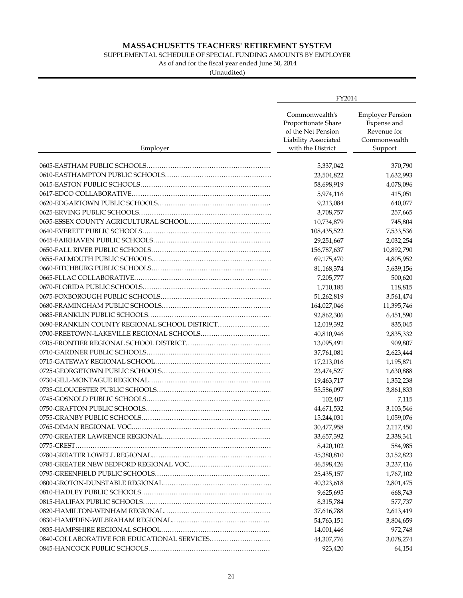SUPPLEMENTAL SCHEDULE OF SPECIAL FUNDING AMOUNTS BY EMPLOYER

As of and for the fiscal year ended June 30, 2014

|                                               | FY2014                                                                                                   |                                                                                  |
|-----------------------------------------------|----------------------------------------------------------------------------------------------------------|----------------------------------------------------------------------------------|
| Employer                                      | Commonwealth's<br>Proportionate Share<br>of the Net Pension<br>Liability Associated<br>with the District | <b>Employer Pension</b><br>Expense and<br>Revenue for<br>Commonwealth<br>Support |
|                                               |                                                                                                          | 370,790                                                                          |
|                                               | 5,337,042<br>23,504,822                                                                                  | 1,632,993                                                                        |
|                                               | 58,698,919                                                                                               | 4,078,096                                                                        |
|                                               | 5,974,116                                                                                                | 415,051                                                                          |
|                                               | 9,213,084                                                                                                | 640,077                                                                          |
|                                               | 3,708,757                                                                                                | 257,665                                                                          |
|                                               | 10,734,879                                                                                               | 745,804                                                                          |
|                                               |                                                                                                          |                                                                                  |
|                                               | 108,435,522                                                                                              | 7,533,536<br>2,032,254                                                           |
|                                               | 29,251,667                                                                                               | 10,892,790                                                                       |
|                                               | 156,787,637                                                                                              |                                                                                  |
|                                               | 69,175,470                                                                                               | 4,805,952                                                                        |
|                                               | 81,168,374                                                                                               | 5,639,156                                                                        |
|                                               | 7,205,777<br>1,710,185                                                                                   | 500,620                                                                          |
|                                               |                                                                                                          | 118,815                                                                          |
|                                               | 51,262,819                                                                                               | 3,561,474                                                                        |
|                                               | 164,027,046                                                                                              | 11,395,746                                                                       |
|                                               | 92,862,306                                                                                               | 6,451,590                                                                        |
| 0690-FRANKLIN COUNTY REGIONAL SCHOOL DISTRICT | 12,019,392                                                                                               | 835,045                                                                          |
| 0700-FREETOWN-LAKEVILLE REGIONAL SCHOOLS      | 40,810,946                                                                                               | 2,835,332                                                                        |
|                                               | 13,095,491                                                                                               | 909,807                                                                          |
|                                               | 37,761,081                                                                                               | 2,623,444                                                                        |
|                                               | 17,213,016                                                                                               | 1,195,871                                                                        |
|                                               | 23,474,527                                                                                               | 1,630,888                                                                        |
|                                               | 19,463,717                                                                                               | 1,352,238                                                                        |
|                                               | 55,586,097                                                                                               | 3,861,833                                                                        |
|                                               | 102,407                                                                                                  | 7,115                                                                            |
|                                               | 44,671,532                                                                                               | 3,103,546                                                                        |
|                                               | 15,244,031                                                                                               | 1,059,076                                                                        |
|                                               | 30,477,958                                                                                               | 2,117,450                                                                        |
|                                               | 33,657,392                                                                                               | 2,338,341                                                                        |
| 0775-CREST.                                   | 8,420,102                                                                                                | 584,985                                                                          |
|                                               | 45,380,810                                                                                               | 3,152,823                                                                        |
|                                               | 46,598,426                                                                                               | 3,237,416                                                                        |
|                                               | 25,435,157                                                                                               | 1,767,102                                                                        |
|                                               | 40,323,618                                                                                               | 2,801,475                                                                        |
|                                               | 9,625,695                                                                                                | 668,743                                                                          |
|                                               | 8,315,784                                                                                                | 577,737                                                                          |
|                                               | 37,616,788                                                                                               | 2,613,419                                                                        |
|                                               | 54,763,151                                                                                               | 3,804,659                                                                        |
|                                               | 14,001,446                                                                                               | 972,748                                                                          |
| 0840-COLLABORATIVE FOR EDUCATIONAL SERVICES   | 44,307,776                                                                                               | 3,078,274                                                                        |
|                                               | 923,420                                                                                                  | 64,154                                                                           |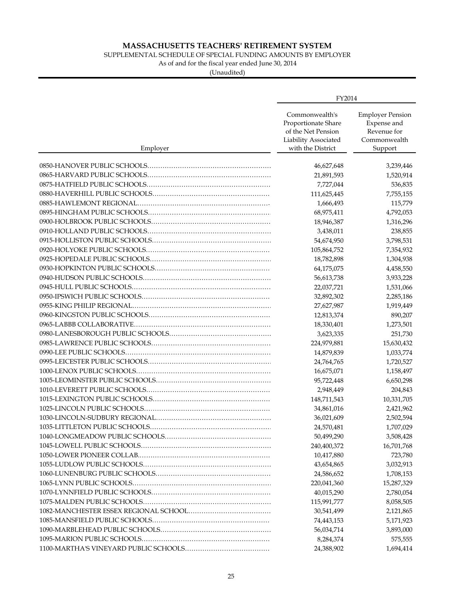### SUPPLEMENTAL SCHEDULE OF SPECIAL FUNDING AMOUNTS BY EMPLOYER

As of and for the fiscal year ended June 30, 2014

|          | FY2014                                                                                                   |                                                                                  |
|----------|----------------------------------------------------------------------------------------------------------|----------------------------------------------------------------------------------|
| Employer | Commonwealth's<br>Proportionate Share<br>of the Net Pension<br>Liability Associated<br>with the District | <b>Employer Pension</b><br>Expense and<br>Revenue for<br>Commonwealth<br>Support |
|          | 46,627,648                                                                                               | 3,239,446                                                                        |
|          | 21,891,593                                                                                               | 1,520,914                                                                        |
|          | 7,727,044                                                                                                | 536,835                                                                          |
|          | 111,625,445                                                                                              | 7,755,155                                                                        |
|          | 1,666,493                                                                                                | 115,779                                                                          |
|          | 68,975,411                                                                                               | 4,792,053                                                                        |
|          | 18,946,387                                                                                               | 1,316,296                                                                        |
|          |                                                                                                          |                                                                                  |
|          | 3,438,011<br>54,674,950                                                                                  | 238,855<br>3,798,531                                                             |
|          |                                                                                                          |                                                                                  |
|          | 105,864,752                                                                                              | 7,354,932                                                                        |
|          | 18,782,898                                                                                               | 1,304,938                                                                        |
|          | 64,175,075                                                                                               | 4,458,550                                                                        |
|          | 56,613,738                                                                                               | 3,933,228                                                                        |
|          | 22,037,721                                                                                               | 1,531,066                                                                        |
|          | 32,892,302                                                                                               | 2,285,186                                                                        |
|          | 27,627,987                                                                                               | 1,919,449                                                                        |
|          | 12,813,374                                                                                               | 890,207                                                                          |
|          | 18,330,401                                                                                               | 1,273,501                                                                        |
|          | 3,623,335                                                                                                | 251,730                                                                          |
|          | 224,979,881                                                                                              | 15,630,432                                                                       |
|          | 14,879,839                                                                                               | 1,033,774                                                                        |
|          | 24,764,765                                                                                               | 1,720,527                                                                        |
|          | 16,675,071                                                                                               | 1,158,497                                                                        |
|          | 95,722,448                                                                                               | 6,650,298                                                                        |
|          | 2,948,449                                                                                                | 204,843                                                                          |
|          | 148,711,543                                                                                              | 10,331,705                                                                       |
|          | 34,861,016                                                                                               | 2,421,962                                                                        |
|          | 36,021,609                                                                                               | 2,502,594                                                                        |
|          | 24,570,481                                                                                               | 1,707,029                                                                        |
|          | 50,499,290                                                                                               | 3,508,428                                                                        |
|          | 240,400,372                                                                                              | 16,701,768                                                                       |
|          | 10,417,880                                                                                               | 723,780                                                                          |
|          | 43,654,865                                                                                               | 3,032,913                                                                        |
|          | 24,586,652                                                                                               | 1,708,153                                                                        |
|          | 220,041,360                                                                                              | 15,287,329                                                                       |
|          | 40,015,290                                                                                               | 2,780,054                                                                        |
|          | 115,991,777                                                                                              | 8,058,505                                                                        |
|          | 30,541,499                                                                                               | 2,121,865                                                                        |
|          | 74,443,153                                                                                               | 5,171,923                                                                        |
|          | 56,034,714                                                                                               | 3,893,000                                                                        |
|          | 8,284,374                                                                                                | 575,555                                                                          |
|          | 24,388,902                                                                                               | 1,694,414                                                                        |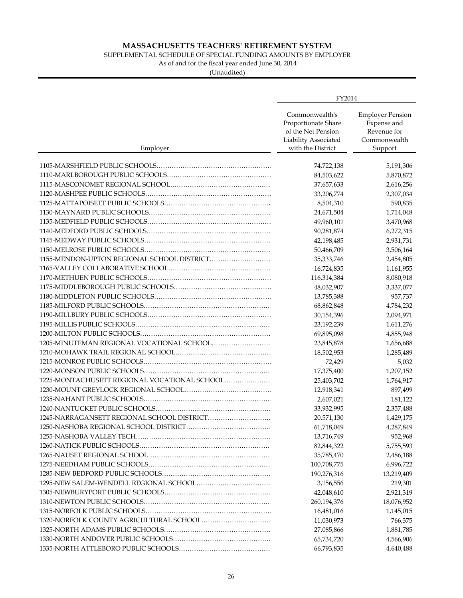SUPPLEMENTAL SCHEDULE OF SPECIAL FUNDING AMOUNTS BY EMPLOYER

As of and for the fiscal year ended June 30, 2014

|                                              | FY2014                                                                                                   |                                                                                  |
|----------------------------------------------|----------------------------------------------------------------------------------------------------------|----------------------------------------------------------------------------------|
| Employer                                     | Commonwealth's<br>Proportionate Share<br>of the Net Pension<br>Liability Associated<br>with the District | <b>Employer Pension</b><br>Expense and<br>Revenue for<br>Commonwealth<br>Support |
|                                              |                                                                                                          |                                                                                  |
|                                              | 74,722,138                                                                                               | 5,191,306                                                                        |
|                                              | 84,503,622                                                                                               | 5,870,872                                                                        |
|                                              | 37,657,633                                                                                               | 2,616,256                                                                        |
|                                              | 33,206,774                                                                                               | 2,307,034                                                                        |
|                                              | 8,504,310                                                                                                | 590,835                                                                          |
|                                              | 24,671,504                                                                                               | 1,714,048                                                                        |
|                                              | 49,960,101                                                                                               | 3,470,968                                                                        |
|                                              | 90,281,874                                                                                               | 6,272,315                                                                        |
|                                              | 42,198,485                                                                                               | 2,931,731                                                                        |
|                                              | 50,466,709                                                                                               | 3,506,164                                                                        |
| 1155-MENDON-UPTON REGIONAL SCHOOL DISTRICT   | 35, 333, 746                                                                                             | 2,454,805                                                                        |
|                                              | 16,724,835                                                                                               | 1,161,955                                                                        |
|                                              | 116,314,384                                                                                              | 8,080,918                                                                        |
|                                              | 48,032,907                                                                                               | 3,337,077                                                                        |
|                                              | 13,785,388                                                                                               | 957,737                                                                          |
|                                              | 68,862,848                                                                                               | 4,784,232                                                                        |
|                                              | 30,154,396                                                                                               | 2,094,971                                                                        |
|                                              | 23,192,239                                                                                               | 1,611,276                                                                        |
|                                              | 69,895,098                                                                                               | 4,855,948                                                                        |
| 1205-MINUTEMAN REGIONAL VOCATIONAL SCHOOL    | 23,845,878                                                                                               | 1,656,688                                                                        |
|                                              | 18,502,953                                                                                               | 1,285,489                                                                        |
|                                              | 72,429                                                                                                   | 5,032                                                                            |
|                                              | 17,375,400                                                                                               | 1,207,152                                                                        |
| 1225-MONTACHUSETT REGIONAL VOCATIONAL SCHOOL | 25,403,702                                                                                               | 1,764,917                                                                        |
|                                              | 12,918,341                                                                                               | 897,499                                                                          |
|                                              | 2,607,021                                                                                                | 181,122                                                                          |
|                                              | 33,932,995                                                                                               | 2,357,488                                                                        |
| 1245-NARRAGANSETT REGIONAL SCHOOL DISTRICT   | 20,571,130                                                                                               | 1,429,175                                                                        |
|                                              | 61,718,049                                                                                               | 4,287,849                                                                        |
|                                              | 13,716,749                                                                                               | 952,968                                                                          |
|                                              | 82,844,322                                                                                               | 5,755,593                                                                        |
|                                              | 35,785,470                                                                                               | 2,486,188                                                                        |
|                                              | 100,708,775                                                                                              | 6,996,722                                                                        |
|                                              | 190,276,316                                                                                              | 13,219,409                                                                       |
|                                              | 3,156,556                                                                                                | 219,301                                                                          |
|                                              | 42,048,610                                                                                               | 2,921,319                                                                        |
|                                              | 260,194,376                                                                                              | 18,076,952                                                                       |
|                                              | 16,481,016                                                                                               | 1,145,015                                                                        |
|                                              | 11,030,973                                                                                               | 766,375                                                                          |
|                                              | 27,085,866                                                                                               | 1,881,785                                                                        |
|                                              | 65,734,720                                                                                               | 4,566,906                                                                        |
|                                              | 66,793,835                                                                                               | 4,640,488                                                                        |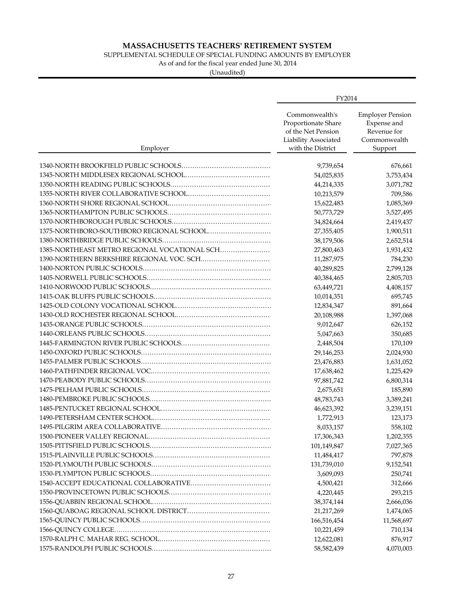SUPPLEMENTAL SCHEDULE OF SPECIAL FUNDING AMOUNTS BY EMPLOYER

As of and for the fiscal year ended June 30, 2014

|                                              | FY2014                                                                                                   |                                                                                  |
|----------------------------------------------|----------------------------------------------------------------------------------------------------------|----------------------------------------------------------------------------------|
| Employer                                     | Commonwealth's<br>Proportionate Share<br>of the Net Pension<br>Liability Associated<br>with the District | <b>Employer Pension</b><br>Expense and<br>Revenue for<br>Commonwealth<br>Support |
|                                              |                                                                                                          |                                                                                  |
|                                              | 9,739,654<br>54,025,835                                                                                  | 676,661                                                                          |
|                                              |                                                                                                          | 3,753,434                                                                        |
|                                              | 44,214,335                                                                                               | 3,071,782                                                                        |
|                                              | 10,213,579                                                                                               | 709,586                                                                          |
|                                              | 15,622,483                                                                                               | 1,085,369                                                                        |
|                                              | 50,773,729                                                                                               | 3,527,495                                                                        |
|                                              | 34,824,664                                                                                               | 2,419,437                                                                        |
|                                              | 27,355,405                                                                                               | 1,900,511                                                                        |
|                                              | 38,179,506                                                                                               | 2,652,514                                                                        |
| 1385-NORTHEAST METRO REGIONAL VOCATIONAL SCH | 27,800,463                                                                                               | 1,931,432                                                                        |
|                                              | 11,287,975                                                                                               | 784,230                                                                          |
|                                              | 40,289,825                                                                                               | 2,799,128                                                                        |
|                                              | 40,384,465                                                                                               | 2,805,703                                                                        |
|                                              | 63,449,721                                                                                               | 4,408,157                                                                        |
|                                              | 10,014,351                                                                                               | 695,745                                                                          |
|                                              | 12,834,347                                                                                               | 891,664                                                                          |
|                                              | 20,108,988                                                                                               | 1,397,068                                                                        |
|                                              | 9,012,647                                                                                                | 626,152                                                                          |
|                                              | 5,047,663                                                                                                | 350,685                                                                          |
|                                              | 2,448,504                                                                                                | 170,109                                                                          |
|                                              | 29,146,253                                                                                               | 2,024,930                                                                        |
|                                              | 23,476,883                                                                                               | 1,631,052                                                                        |
|                                              | 17,638,462                                                                                               | 1,225,429                                                                        |
|                                              | 97,881,742                                                                                               | 6,800,314                                                                        |
|                                              | 2,675,651                                                                                                | 185,890                                                                          |
|                                              | 48,783,743                                                                                               | 3,389,241                                                                        |
|                                              | 46,623,392                                                                                               | 3,239,151                                                                        |
|                                              | 1,772,913                                                                                                | 123,173                                                                          |
|                                              | 8,033,157                                                                                                | 558,102                                                                          |
|                                              | 17,306,343                                                                                               | 1,202,355                                                                        |
|                                              | 101,149,847                                                                                              | 7,027,365                                                                        |
|                                              | 11,484,417                                                                                               | 797,878                                                                          |
|                                              | 131,739,010                                                                                              | 9,152,541                                                                        |
|                                              | 3,609,093                                                                                                | 250,741                                                                          |
|                                              | 4,500,421                                                                                                | 312,666                                                                          |
|                                              | 4,220,445                                                                                                | 293,215                                                                          |
|                                              | 38,374,144                                                                                               | 2,666,036                                                                        |
|                                              | 21,217,269                                                                                               | 1,474,065                                                                        |
|                                              | 166,516,454                                                                                              | 11,568,697                                                                       |
|                                              | 10,221,459                                                                                               | 710,134                                                                          |
|                                              | 12,622,081                                                                                               | 876,917                                                                          |
|                                              | 58,582,439                                                                                               | 4,070,003                                                                        |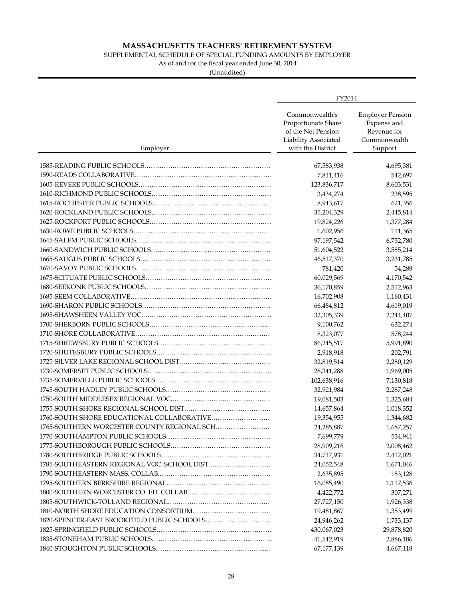SUPPLEMENTAL SCHEDULE OF SPECIAL FUNDING AMOUNTS BY EMPLOYER

As of and for the fiscal year ended June 30, 2014

|                                             | FY2014                                                                                                   |                                                                                  |
|---------------------------------------------|----------------------------------------------------------------------------------------------------------|----------------------------------------------------------------------------------|
| Employer                                    | Commonwealth's<br>Proportionate Share<br>of the Net Pension<br>Liability Associated<br>with the District | <b>Employer Pension</b><br>Expense and<br>Revenue for<br>Commonwealth<br>Support |
|                                             |                                                                                                          |                                                                                  |
|                                             | 67,583,938                                                                                               | 4,695,381                                                                        |
|                                             | 7,811,416<br>123,836,717                                                                                 | 542,697                                                                          |
|                                             |                                                                                                          | 8,603,531                                                                        |
|                                             | 3,434,274                                                                                                | 238,595                                                                          |
|                                             | 8,943,617                                                                                                | 621,356                                                                          |
|                                             | 35,204,329                                                                                               | 2,445,814                                                                        |
|                                             | 19,824,226                                                                                               | 1,377,284                                                                        |
|                                             | 1,602,956                                                                                                | 111,365                                                                          |
|                                             | 97,197,542                                                                                               | 6,752,780                                                                        |
|                                             | 51,604,522                                                                                               | 3,585,214                                                                        |
|                                             | 46,517,370                                                                                               | 3,231,785                                                                        |
|                                             | 781,420                                                                                                  | 54,289                                                                           |
|                                             | 60,029,569                                                                                               | 4,170,542                                                                        |
|                                             | 36,170,859                                                                                               | 2,512,963                                                                        |
|                                             | 16,702,908                                                                                               | 1,160,431                                                                        |
|                                             | 66,484,812                                                                                               | 4,619,019                                                                        |
|                                             | 32,305,339                                                                                               | 2,244,407                                                                        |
|                                             | 9,100,762                                                                                                | 632,274                                                                          |
|                                             | 8,323,077                                                                                                | 578,244                                                                          |
|                                             | 86,245,517                                                                                               | 5,991,890                                                                        |
|                                             | 2,918,918                                                                                                | 202,791                                                                          |
|                                             | 32,819,514                                                                                               | 2,280,129                                                                        |
|                                             | 28,341,288                                                                                               | 1,969,005                                                                        |
|                                             | 102,638,916                                                                                              | 7,130,818                                                                        |
|                                             | 32,921,984                                                                                               | 2,287,248                                                                        |
|                                             | 19,081,503                                                                                               | 1,325,684                                                                        |
|                                             | 14,657,864                                                                                               | 1,018,352                                                                        |
| 1760-SOUTH SHORE EDUCATIONAL COLLABORATIVE  | 19,354,955                                                                                               | 1,344,682                                                                        |
| 1765-SOUTHERN WORCESTER COUNTY REGIONAL SCH | 24,285,887                                                                                               | 1,687,257                                                                        |
|                                             | 7,699,779                                                                                                | 534,941                                                                          |
|                                             | 28,909,216                                                                                               | 2,008,462                                                                        |
|                                             |                                                                                                          |                                                                                  |
| 1785-SOUTHEASTERN REGIONAL VOC. SCHOOL DIST | 34,717,931                                                                                               | 2,412,021                                                                        |
|                                             | 24,052,548                                                                                               | 1,671,046                                                                        |
|                                             | 2,635,895                                                                                                | 183,128                                                                          |
|                                             | 16,085,490                                                                                               | 1,117,536                                                                        |
|                                             | 4,422,772                                                                                                | 307,271                                                                          |
|                                             | 27,727,150                                                                                               | 1,926,338                                                                        |
|                                             | 19,481,867                                                                                               | 1,353,499                                                                        |
| 1820-SPENCER-EAST BROOKFIELD PUBLIC SCHOOLS | 24,946,262                                                                                               | 1,733,137                                                                        |
|                                             | 430,067,023                                                                                              | 29,878,820                                                                       |
|                                             | 41,542,919                                                                                               | 2,886,186                                                                        |
|                                             | 67,177,139                                                                                               | 4,667,118                                                                        |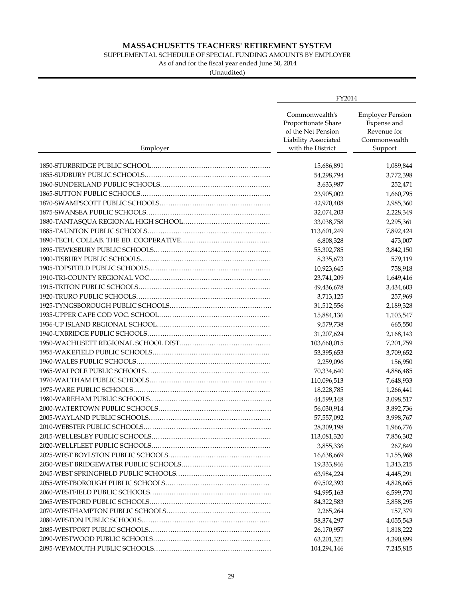### SUPPLEMENTAL SCHEDULE OF SPECIAL FUNDING AMOUNTS BY EMPLOYER

As of and for the fiscal year ended June 30, 2014

|          | FY2014                                                                                                   |                                                                                  |
|----------|----------------------------------------------------------------------------------------------------------|----------------------------------------------------------------------------------|
| Employer | Commonwealth's<br>Proportionate Share<br>of the Net Pension<br>Liability Associated<br>with the District | <b>Employer Pension</b><br>Expense and<br>Revenue for<br>Commonwealth<br>Support |
|          |                                                                                                          |                                                                                  |
|          | 15,686,891                                                                                               | 1,089,844                                                                        |
|          | 54,298,794                                                                                               | 3,772,398                                                                        |
|          | 3,633,987                                                                                                | 252,471                                                                          |
|          | 23,905,002                                                                                               | 1,660,795                                                                        |
|          | 42,970,408                                                                                               | 2,985,360                                                                        |
|          | 32,074,203                                                                                               | 2,228,349                                                                        |
|          | 33,038,758                                                                                               | 2,295,361                                                                        |
|          | 113,601,249                                                                                              | 7,892,424                                                                        |
|          | 6,808,328                                                                                                | 473,007                                                                          |
|          | 55,302,785                                                                                               | 3,842,150                                                                        |
|          | 8,335,673                                                                                                | 579,119                                                                          |
|          | 10,923,645                                                                                               | 758,918                                                                          |
|          | 23,741,209                                                                                               | 1,649,416                                                                        |
|          | 49,436,678                                                                                               | 3,434,603                                                                        |
|          | 3,713,125                                                                                                | 257,969                                                                          |
|          | 31,512,556                                                                                               | 2,189,328                                                                        |
|          | 15,884,136                                                                                               | 1,103,547                                                                        |
|          | 9,579,738                                                                                                | 665,550                                                                          |
|          | 31,207,624                                                                                               | 2,168,143                                                                        |
|          | 103,660,015                                                                                              | 7,201,759                                                                        |
|          | 53,395,653                                                                                               | 3,709,652                                                                        |
|          | 2,259,096                                                                                                | 156,950                                                                          |
|          | 70,334,640                                                                                               | 4,886,485                                                                        |
|          | 110,096,513                                                                                              | 7,648,933                                                                        |
|          | 18,228,785                                                                                               | 1,266,441                                                                        |
|          | 44,599,148                                                                                               | 3,098,517                                                                        |
|          | 56,030,914                                                                                               | 3,892,736                                                                        |
|          | 57,557,092                                                                                               | 3,998,767                                                                        |
|          | 28,309,198                                                                                               | 1,966,776                                                                        |
|          | 113,081,320                                                                                              | 7,856,302                                                                        |
|          | 3,855,336                                                                                                | 267,849                                                                          |
|          | 16,638,669                                                                                               | 1,155,968                                                                        |
|          | 19,333,846                                                                                               | 1,343,215                                                                        |
|          | 63,984,224                                                                                               | 4,445,291                                                                        |
|          | 69,502,393                                                                                               | 4,828,665                                                                        |
|          | 94,995,163                                                                                               | 6,599,770                                                                        |
|          | 84,322,583                                                                                               | 5,858,295                                                                        |
|          | 2,265,264                                                                                                | 157,379                                                                          |
|          | 58,374,297                                                                                               | 4,055,543                                                                        |
|          | 26,170,957                                                                                               | 1,818,222                                                                        |
|          | 63,201,321                                                                                               | 4,390,899                                                                        |
|          | 104,294,146                                                                                              | 7,245,815                                                                        |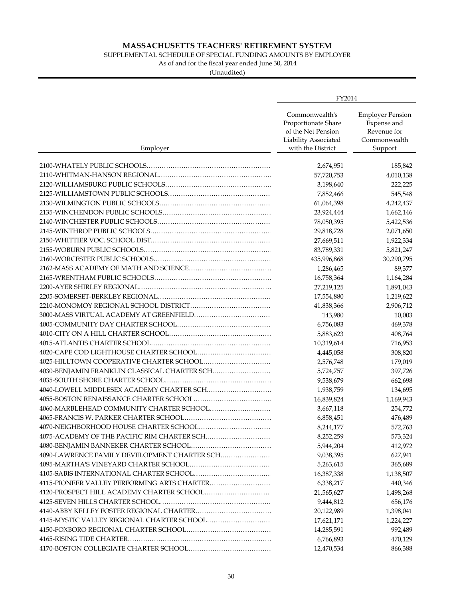### SUPPLEMENTAL SCHEDULE OF SPECIAL FUNDING AMOUNTS BY EMPLOYER

As of and for the fiscal year ended June 30, 2014

|                                              | FY2014                                                                                                   |                                                                                  |
|----------------------------------------------|----------------------------------------------------------------------------------------------------------|----------------------------------------------------------------------------------|
| Employer                                     | Commonwealth's<br>Proportionate Share<br>of the Net Pension<br>Liability Associated<br>with the District | <b>Employer Pension</b><br>Expense and<br>Revenue for<br>Commonwealth<br>Support |
|                                              |                                                                                                          |                                                                                  |
|                                              | 2,674,951<br>57,720,753                                                                                  | 185,842<br>4,010,138                                                             |
|                                              |                                                                                                          | 222,225                                                                          |
|                                              | 3,198,640<br>7,852,466                                                                                   | 545,548                                                                          |
|                                              |                                                                                                          | 4,242,437                                                                        |
|                                              | 61,064,398                                                                                               |                                                                                  |
|                                              | 23,924,444                                                                                               | 1,662,146                                                                        |
|                                              | 78,050,395                                                                                               | 5,422,536                                                                        |
|                                              | 29,818,728                                                                                               | 2,071,650                                                                        |
|                                              | 27,669,511                                                                                               | 1,922,334                                                                        |
|                                              | 83,789,331                                                                                               | 5,821,247                                                                        |
|                                              | 435,996,868                                                                                              | 30,290,795                                                                       |
|                                              | 1,286,465                                                                                                | 89,377                                                                           |
|                                              | 16,758,364                                                                                               | 1,164,284                                                                        |
|                                              | 27,219,125                                                                                               | 1,891,043                                                                        |
|                                              | 17,554,880                                                                                               | 1,219,622                                                                        |
|                                              | 41,838,366                                                                                               | 2,906,712                                                                        |
|                                              | 143,980                                                                                                  | 10,003                                                                           |
|                                              | 6,756,083                                                                                                | 469,378                                                                          |
|                                              | 5,883,623                                                                                                | 408,764                                                                          |
|                                              | 10,319,614                                                                                               | 716,953                                                                          |
|                                              | 4,445,058                                                                                                | 308,820                                                                          |
|                                              | 2,576,748                                                                                                | 179,019                                                                          |
| 4030-BENJAMIN FRANKLIN CLASSICAL CHARTER SCH | 5,724,757                                                                                                | 397,726                                                                          |
|                                              | 9,538,679                                                                                                | 662,698                                                                          |
|                                              | 1,938,759                                                                                                | 134,695                                                                          |
|                                              | 16,839,824                                                                                               | 1,169,943                                                                        |
|                                              | 3,667,118                                                                                                | 254,772                                                                          |
|                                              | 6,858,451                                                                                                | 476,489                                                                          |
|                                              | 8,244,177                                                                                                | 572,763                                                                          |
|                                              | 8,252,259                                                                                                | 573,324                                                                          |
|                                              | 5,944,204                                                                                                | 412,972                                                                          |
| 4090-LAWRENCE FAMILY DEVELOPMENT CHARTER SCH | 9,038,395                                                                                                | 627,941                                                                          |
|                                              | 5,263,615                                                                                                | 365,689                                                                          |
|                                              | 16,387,338                                                                                               | 1,138,507                                                                        |
| 4115-PIONEER VALLEY PERFORMING ARTS CHARTER  | 6,338,217                                                                                                | 440,346                                                                          |
|                                              | 21,565,627                                                                                               | 1,498,268                                                                        |
|                                              | 9,444,812                                                                                                | 656,176                                                                          |
|                                              | 20,122,989                                                                                               | 1,398,041                                                                        |
| 4145-MYSTIC VALLEY REGIONAL CHARTER SCHOOL   | 17,621,171                                                                                               | 1,224,227                                                                        |
|                                              |                                                                                                          | 992,489                                                                          |
|                                              | 14,285,591<br>6,766,893                                                                                  | 470,129                                                                          |
|                                              | 12,470,534                                                                                               | 866,388                                                                          |
|                                              |                                                                                                          |                                                                                  |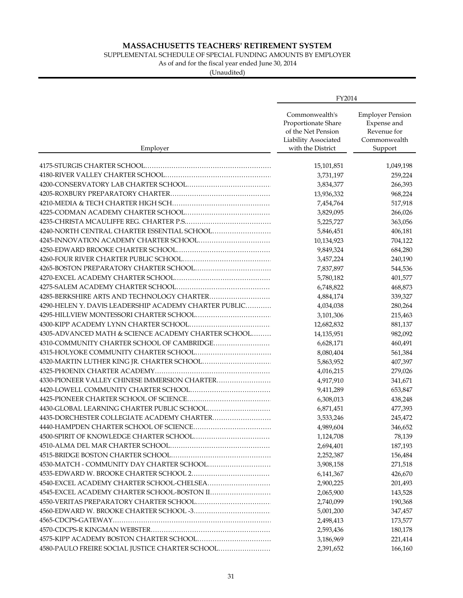### SUPPLEMENTAL SCHEDULE OF SPECIAL FUNDING AMOUNTS BY EMPLOYER

As of and for the fiscal year ended June 30, 2014

| Commonwealth's<br><b>Employer Pension</b><br>Expense and<br>Proportionate Share<br>of the Net Pension<br>Revenue for<br>Liability Associated<br>Commonwealth<br>with the District<br>Support<br>Employer<br>15,101,851<br>1,049,198<br>3,731,197<br>259,224<br>3,834,377<br>266,393<br>13,936,332<br>968,224<br>517,918<br>7,454,764<br>3,829,095<br>266,026<br>5,225,727<br>363,056<br>4240-NORTH CENTRAL CHARTER ESSENTIAL SCHOOL<br>5,846,451<br>406,181<br>10,134,923<br>704,122<br>9,849,324<br>684,280<br>240,190<br>3,457,224<br>7,837,897<br>544,536<br>5,780,182<br>401,577<br>6,748,822<br>468,873<br>4285-BERKSHIRE ARTS AND TECHNOLOGY CHARTER<br>4,884,174<br>339,327<br>4290-HELEN Y. DAVIS LEADERSHIP ACADEMY CHARTER PUBLIC<br>4,034,038<br>280,264<br>3,101,306<br>215,463<br>12,682,832<br>881,137<br>4305-ADVANCED MATH & SCIENCE ACADEMY CHARTER SCHOOL<br>982,092<br>14,135,951<br>4310-COMMUNITY CHARTER SCHOOL OF CAMBRIDGE<br>6,628,171<br>460,491<br>8,080,404<br>561,384<br>4320-MARTIN LUTHER KING JR. CHARTER SCHOOL<br>407,397<br>5,863,952<br>279,026<br>4,016,215<br>4330-PIONEER VALLEY CHINESE IMMERSION CHARTER<br>4,917,910<br>341,671<br>9,411,289<br>653,847<br>6,308,013<br>438,248<br>4430-GLOBAL LEARNING CHARTER PUBLIC SCHOOL<br>6,871,451<br>477,393<br>4435-DORCHESTER COLLEGIATE ACADEMY CHARTER<br>3,533,246<br>245,472<br>4,989,604<br>346,652<br>1,124,708<br>78,139<br>2,694,401<br>187,193<br>2,252,387<br>156,484<br>4530-MATCH - COMMUNITY DAY CHARTER SCHOOL<br>271,518<br>3,908,158<br>426,670<br>6,141,367<br>4540-EXCEL ACADEMY CHARTER SCHOOL-CHELSEA<br>201,493<br>2,900,225<br>4545-EXCEL ACADEMY CHARTER SCHOOL-BOSTON II<br>2,065,900<br>143,528<br>190,368<br>2,740,099<br>5,001,200<br>347,457<br>2,498,413<br>173,577<br>2,593,436<br>180,178<br>3,186,969<br>221,414 |                                                 | FY2014    |         |
|---------------------------------------------------------------------------------------------------------------------------------------------------------------------------------------------------------------------------------------------------------------------------------------------------------------------------------------------------------------------------------------------------------------------------------------------------------------------------------------------------------------------------------------------------------------------------------------------------------------------------------------------------------------------------------------------------------------------------------------------------------------------------------------------------------------------------------------------------------------------------------------------------------------------------------------------------------------------------------------------------------------------------------------------------------------------------------------------------------------------------------------------------------------------------------------------------------------------------------------------------------------------------------------------------------------------------------------------------------------------------------------------------------------------------------------------------------------------------------------------------------------------------------------------------------------------------------------------------------------------------------------------------------------------------------------------------------------------------------------------------------------------------------------------------------------------------------------|-------------------------------------------------|-----------|---------|
|                                                                                                                                                                                                                                                                                                                                                                                                                                                                                                                                                                                                                                                                                                                                                                                                                                                                                                                                                                                                                                                                                                                                                                                                                                                                                                                                                                                                                                                                                                                                                                                                                                                                                                                                                                                                                                       |                                                 |           |         |
|                                                                                                                                                                                                                                                                                                                                                                                                                                                                                                                                                                                                                                                                                                                                                                                                                                                                                                                                                                                                                                                                                                                                                                                                                                                                                                                                                                                                                                                                                                                                                                                                                                                                                                                                                                                                                                       |                                                 |           |         |
|                                                                                                                                                                                                                                                                                                                                                                                                                                                                                                                                                                                                                                                                                                                                                                                                                                                                                                                                                                                                                                                                                                                                                                                                                                                                                                                                                                                                                                                                                                                                                                                                                                                                                                                                                                                                                                       |                                                 |           |         |
|                                                                                                                                                                                                                                                                                                                                                                                                                                                                                                                                                                                                                                                                                                                                                                                                                                                                                                                                                                                                                                                                                                                                                                                                                                                                                                                                                                                                                                                                                                                                                                                                                                                                                                                                                                                                                                       |                                                 |           |         |
|                                                                                                                                                                                                                                                                                                                                                                                                                                                                                                                                                                                                                                                                                                                                                                                                                                                                                                                                                                                                                                                                                                                                                                                                                                                                                                                                                                                                                                                                                                                                                                                                                                                                                                                                                                                                                                       |                                                 |           |         |
|                                                                                                                                                                                                                                                                                                                                                                                                                                                                                                                                                                                                                                                                                                                                                                                                                                                                                                                                                                                                                                                                                                                                                                                                                                                                                                                                                                                                                                                                                                                                                                                                                                                                                                                                                                                                                                       |                                                 |           |         |
|                                                                                                                                                                                                                                                                                                                                                                                                                                                                                                                                                                                                                                                                                                                                                                                                                                                                                                                                                                                                                                                                                                                                                                                                                                                                                                                                                                                                                                                                                                                                                                                                                                                                                                                                                                                                                                       |                                                 |           |         |
|                                                                                                                                                                                                                                                                                                                                                                                                                                                                                                                                                                                                                                                                                                                                                                                                                                                                                                                                                                                                                                                                                                                                                                                                                                                                                                                                                                                                                                                                                                                                                                                                                                                                                                                                                                                                                                       |                                                 |           |         |
|                                                                                                                                                                                                                                                                                                                                                                                                                                                                                                                                                                                                                                                                                                                                                                                                                                                                                                                                                                                                                                                                                                                                                                                                                                                                                                                                                                                                                                                                                                                                                                                                                                                                                                                                                                                                                                       |                                                 |           |         |
|                                                                                                                                                                                                                                                                                                                                                                                                                                                                                                                                                                                                                                                                                                                                                                                                                                                                                                                                                                                                                                                                                                                                                                                                                                                                                                                                                                                                                                                                                                                                                                                                                                                                                                                                                                                                                                       |                                                 |           |         |
|                                                                                                                                                                                                                                                                                                                                                                                                                                                                                                                                                                                                                                                                                                                                                                                                                                                                                                                                                                                                                                                                                                                                                                                                                                                                                                                                                                                                                                                                                                                                                                                                                                                                                                                                                                                                                                       |                                                 |           |         |
|                                                                                                                                                                                                                                                                                                                                                                                                                                                                                                                                                                                                                                                                                                                                                                                                                                                                                                                                                                                                                                                                                                                                                                                                                                                                                                                                                                                                                                                                                                                                                                                                                                                                                                                                                                                                                                       |                                                 |           |         |
|                                                                                                                                                                                                                                                                                                                                                                                                                                                                                                                                                                                                                                                                                                                                                                                                                                                                                                                                                                                                                                                                                                                                                                                                                                                                                                                                                                                                                                                                                                                                                                                                                                                                                                                                                                                                                                       |                                                 |           |         |
|                                                                                                                                                                                                                                                                                                                                                                                                                                                                                                                                                                                                                                                                                                                                                                                                                                                                                                                                                                                                                                                                                                                                                                                                                                                                                                                                                                                                                                                                                                                                                                                                                                                                                                                                                                                                                                       |                                                 |           |         |
|                                                                                                                                                                                                                                                                                                                                                                                                                                                                                                                                                                                                                                                                                                                                                                                                                                                                                                                                                                                                                                                                                                                                                                                                                                                                                                                                                                                                                                                                                                                                                                                                                                                                                                                                                                                                                                       |                                                 |           |         |
|                                                                                                                                                                                                                                                                                                                                                                                                                                                                                                                                                                                                                                                                                                                                                                                                                                                                                                                                                                                                                                                                                                                                                                                                                                                                                                                                                                                                                                                                                                                                                                                                                                                                                                                                                                                                                                       |                                                 |           |         |
|                                                                                                                                                                                                                                                                                                                                                                                                                                                                                                                                                                                                                                                                                                                                                                                                                                                                                                                                                                                                                                                                                                                                                                                                                                                                                                                                                                                                                                                                                                                                                                                                                                                                                                                                                                                                                                       |                                                 |           |         |
|                                                                                                                                                                                                                                                                                                                                                                                                                                                                                                                                                                                                                                                                                                                                                                                                                                                                                                                                                                                                                                                                                                                                                                                                                                                                                                                                                                                                                                                                                                                                                                                                                                                                                                                                                                                                                                       |                                                 |           |         |
|                                                                                                                                                                                                                                                                                                                                                                                                                                                                                                                                                                                                                                                                                                                                                                                                                                                                                                                                                                                                                                                                                                                                                                                                                                                                                                                                                                                                                                                                                                                                                                                                                                                                                                                                                                                                                                       |                                                 |           |         |
|                                                                                                                                                                                                                                                                                                                                                                                                                                                                                                                                                                                                                                                                                                                                                                                                                                                                                                                                                                                                                                                                                                                                                                                                                                                                                                                                                                                                                                                                                                                                                                                                                                                                                                                                                                                                                                       |                                                 |           |         |
|                                                                                                                                                                                                                                                                                                                                                                                                                                                                                                                                                                                                                                                                                                                                                                                                                                                                                                                                                                                                                                                                                                                                                                                                                                                                                                                                                                                                                                                                                                                                                                                                                                                                                                                                                                                                                                       |                                                 |           |         |
|                                                                                                                                                                                                                                                                                                                                                                                                                                                                                                                                                                                                                                                                                                                                                                                                                                                                                                                                                                                                                                                                                                                                                                                                                                                                                                                                                                                                                                                                                                                                                                                                                                                                                                                                                                                                                                       |                                                 |           |         |
|                                                                                                                                                                                                                                                                                                                                                                                                                                                                                                                                                                                                                                                                                                                                                                                                                                                                                                                                                                                                                                                                                                                                                                                                                                                                                                                                                                                                                                                                                                                                                                                                                                                                                                                                                                                                                                       |                                                 |           |         |
|                                                                                                                                                                                                                                                                                                                                                                                                                                                                                                                                                                                                                                                                                                                                                                                                                                                                                                                                                                                                                                                                                                                                                                                                                                                                                                                                                                                                                                                                                                                                                                                                                                                                                                                                                                                                                                       |                                                 |           |         |
|                                                                                                                                                                                                                                                                                                                                                                                                                                                                                                                                                                                                                                                                                                                                                                                                                                                                                                                                                                                                                                                                                                                                                                                                                                                                                                                                                                                                                                                                                                                                                                                                                                                                                                                                                                                                                                       |                                                 |           |         |
|                                                                                                                                                                                                                                                                                                                                                                                                                                                                                                                                                                                                                                                                                                                                                                                                                                                                                                                                                                                                                                                                                                                                                                                                                                                                                                                                                                                                                                                                                                                                                                                                                                                                                                                                                                                                                                       |                                                 |           |         |
|                                                                                                                                                                                                                                                                                                                                                                                                                                                                                                                                                                                                                                                                                                                                                                                                                                                                                                                                                                                                                                                                                                                                                                                                                                                                                                                                                                                                                                                                                                                                                                                                                                                                                                                                                                                                                                       |                                                 |           |         |
|                                                                                                                                                                                                                                                                                                                                                                                                                                                                                                                                                                                                                                                                                                                                                                                                                                                                                                                                                                                                                                                                                                                                                                                                                                                                                                                                                                                                                                                                                                                                                                                                                                                                                                                                                                                                                                       |                                                 |           |         |
|                                                                                                                                                                                                                                                                                                                                                                                                                                                                                                                                                                                                                                                                                                                                                                                                                                                                                                                                                                                                                                                                                                                                                                                                                                                                                                                                                                                                                                                                                                                                                                                                                                                                                                                                                                                                                                       |                                                 |           |         |
|                                                                                                                                                                                                                                                                                                                                                                                                                                                                                                                                                                                                                                                                                                                                                                                                                                                                                                                                                                                                                                                                                                                                                                                                                                                                                                                                                                                                                                                                                                                                                                                                                                                                                                                                                                                                                                       |                                                 |           |         |
|                                                                                                                                                                                                                                                                                                                                                                                                                                                                                                                                                                                                                                                                                                                                                                                                                                                                                                                                                                                                                                                                                                                                                                                                                                                                                                                                                                                                                                                                                                                                                                                                                                                                                                                                                                                                                                       |                                                 |           |         |
|                                                                                                                                                                                                                                                                                                                                                                                                                                                                                                                                                                                                                                                                                                                                                                                                                                                                                                                                                                                                                                                                                                                                                                                                                                                                                                                                                                                                                                                                                                                                                                                                                                                                                                                                                                                                                                       |                                                 |           |         |
|                                                                                                                                                                                                                                                                                                                                                                                                                                                                                                                                                                                                                                                                                                                                                                                                                                                                                                                                                                                                                                                                                                                                                                                                                                                                                                                                                                                                                                                                                                                                                                                                                                                                                                                                                                                                                                       |                                                 |           |         |
|                                                                                                                                                                                                                                                                                                                                                                                                                                                                                                                                                                                                                                                                                                                                                                                                                                                                                                                                                                                                                                                                                                                                                                                                                                                                                                                                                                                                                                                                                                                                                                                                                                                                                                                                                                                                                                       |                                                 |           |         |
|                                                                                                                                                                                                                                                                                                                                                                                                                                                                                                                                                                                                                                                                                                                                                                                                                                                                                                                                                                                                                                                                                                                                                                                                                                                                                                                                                                                                                                                                                                                                                                                                                                                                                                                                                                                                                                       |                                                 |           |         |
|                                                                                                                                                                                                                                                                                                                                                                                                                                                                                                                                                                                                                                                                                                                                                                                                                                                                                                                                                                                                                                                                                                                                                                                                                                                                                                                                                                                                                                                                                                                                                                                                                                                                                                                                                                                                                                       |                                                 |           |         |
|                                                                                                                                                                                                                                                                                                                                                                                                                                                                                                                                                                                                                                                                                                                                                                                                                                                                                                                                                                                                                                                                                                                                                                                                                                                                                                                                                                                                                                                                                                                                                                                                                                                                                                                                                                                                                                       |                                                 |           |         |
|                                                                                                                                                                                                                                                                                                                                                                                                                                                                                                                                                                                                                                                                                                                                                                                                                                                                                                                                                                                                                                                                                                                                                                                                                                                                                                                                                                                                                                                                                                                                                                                                                                                                                                                                                                                                                                       |                                                 |           |         |
|                                                                                                                                                                                                                                                                                                                                                                                                                                                                                                                                                                                                                                                                                                                                                                                                                                                                                                                                                                                                                                                                                                                                                                                                                                                                                                                                                                                                                                                                                                                                                                                                                                                                                                                                                                                                                                       |                                                 |           |         |
|                                                                                                                                                                                                                                                                                                                                                                                                                                                                                                                                                                                                                                                                                                                                                                                                                                                                                                                                                                                                                                                                                                                                                                                                                                                                                                                                                                                                                                                                                                                                                                                                                                                                                                                                                                                                                                       |                                                 |           |         |
|                                                                                                                                                                                                                                                                                                                                                                                                                                                                                                                                                                                                                                                                                                                                                                                                                                                                                                                                                                                                                                                                                                                                                                                                                                                                                                                                                                                                                                                                                                                                                                                                                                                                                                                                                                                                                                       |                                                 |           |         |
|                                                                                                                                                                                                                                                                                                                                                                                                                                                                                                                                                                                                                                                                                                                                                                                                                                                                                                                                                                                                                                                                                                                                                                                                                                                                                                                                                                                                                                                                                                                                                                                                                                                                                                                                                                                                                                       |                                                 |           |         |
|                                                                                                                                                                                                                                                                                                                                                                                                                                                                                                                                                                                                                                                                                                                                                                                                                                                                                                                                                                                                                                                                                                                                                                                                                                                                                                                                                                                                                                                                                                                                                                                                                                                                                                                                                                                                                                       | 4580-PAULO FREIRE SOCIAL JUSTICE CHARTER SCHOOL | 2,391,652 | 166,160 |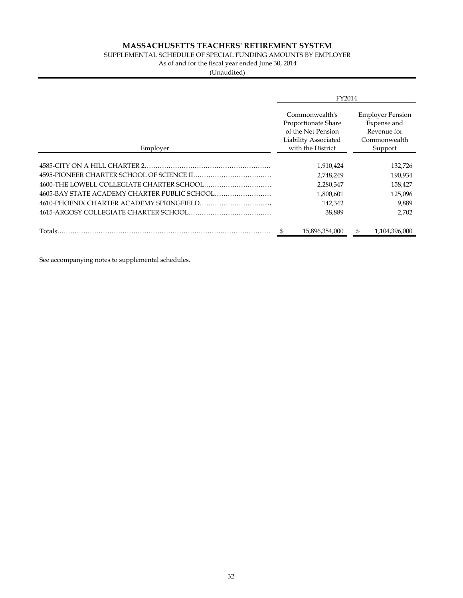### SUPPLEMENTAL SCHEDULE OF SPECIAL FUNDING AMOUNTS BY EMPLOYER

As of and for the fiscal year ended June 30, 2014

(Unaudited)

|                                            | FY2014                                                                                                   |                                                                                  |
|--------------------------------------------|----------------------------------------------------------------------------------------------------------|----------------------------------------------------------------------------------|
| Employer                                   | Commonwealth's<br>Proportionate Share<br>of the Net Pension<br>Liability Associated<br>with the District | <b>Employer Pension</b><br>Expense and<br>Revenue for<br>Commonwealth<br>Support |
|                                            |                                                                                                          |                                                                                  |
|                                            | 1,910,424                                                                                                | 132,726                                                                          |
| 4595-PIONEER CHARTER SCHOOL OF SCIENCE II. | 2,748,249                                                                                                | 190,934                                                                          |
|                                            | 2,280,347                                                                                                | 158,427                                                                          |
|                                            | 1,800,601                                                                                                | 125,096                                                                          |
|                                            | 142,342                                                                                                  | 9,889                                                                            |
|                                            | 38,889                                                                                                   | 2,702                                                                            |
| Totals.                                    | \$<br>15,896,354,000                                                                                     | 1,104,396,000<br>S                                                               |

See accompanying notes to supplemental schedules.